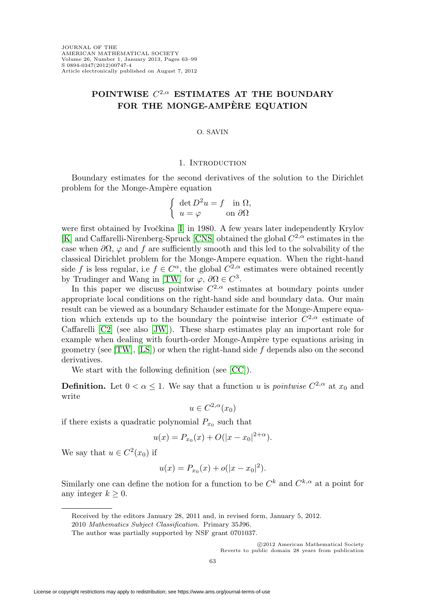# **POINTWISE** C2,α **ESTIMATES AT THE BOUNDARY FOR THE MONGE-AMPERE EQUATION `**

#### O. SAVIN

#### 1. INTRODUCTION

Boundary estimates for the second derivatives of the solution to the Dirichlet problem for the Monge-Ampère equation

$$
\begin{cases} \det D^2 u = f \quad \text{in } \Omega, \\ u = \varphi \qquad \text{on } \partial \Omega \end{cases}
$$

were first obtained by Ivočkina [\[I\]](#page-35-0) in 1980. A few years later independently Krylov [\[K\]](#page-35-1) and Caffarelli-Nirenberg-Spruck [\[CNS\]](#page-35-2) obtained the global  $C^{2,\alpha}$  estimates in the case when  $\partial\Omega$ ,  $\varphi$  and f are sufficiently smooth and this led to the solvability of the classical Dirichlet problem for the Monge-Ampere equation. When the right-hand side f is less regular, i.e  $f \in C^{\alpha}$ , the global  $C^{2,\alpha}$  estimates were obtained recently by Trudinger and Wang in [\[TW\]](#page-36-0) for  $\varphi$ ,  $\partial\Omega \in C^3$ .

In this paper we discuss pointwise  $C^{2,\alpha}$  estimates at boundary points under appropriate local conditions on the right-hand side and boundary data. Our main result can be viewed as a boundary Schauder estimate for the Monge-Ampere equation which extends up to the boundary the pointwise interior  $C^{2,\alpha}$  estimate of Caffarelli [\[C2\]](#page-35-3) (see also [\[JW\]](#page-35-4)). These sharp estimates play an important role for example when dealing with fourth-order Monge-Ampère type equations arising in geometry (see  $[TW]$ , [\[LS\]](#page-35-5)) or when the right-hand side f depends also on the second derivatives.

We start with the following definition (see [\[CC\]](#page-35-6)).

**Definition.** Let  $0 < \alpha \leq 1$ . We say that a function u is *pointwise*  $C^{2,\alpha}$  at  $x_0$  and write

$$
u\in C^{2,\alpha}(x_0)
$$

if there exists a quadratic polynomial  $P_{x_0}$  such that

$$
u(x) = P_{x_0}(x) + O(|x - x_0|^{2+\alpha}).
$$

We say that  $u \in C^2(x_0)$  if

$$
u(x) = P_{x_0}(x) + o(|x - x_0|^2).
$$

Similarly one can define the notion for a function to be  $C^k$  and  $C^{k,\alpha}$  at a point for any integer  $k \geq 0$ .

Received by the editors January 28, 2011 and, in revised form, January 5, 2012.

<sup>2010</sup> Mathematics Subject Classification. Primary 35J96.

The author was partially supported by NSF grant 0701037.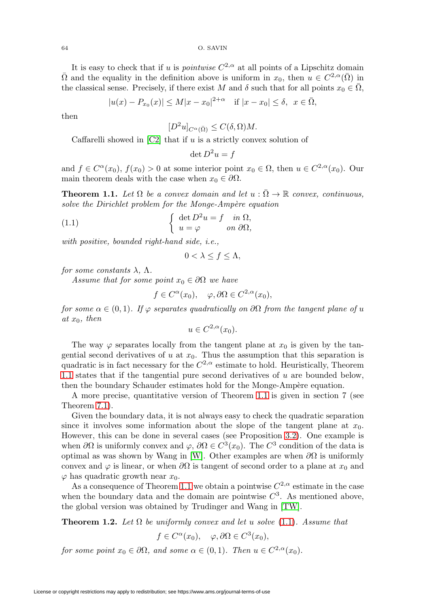It is easy to check that if u is *pointwise*  $C^{2,\alpha}$  at all points of a Lipschitz domain  $\overline{\Omega}$  and the equality in the definition above is uniform in  $x_0$ , then  $u \in C^{2,\alpha}(\overline{\Omega})$  in the classical sense. Precisely, if there exist M and  $\delta$  such that for all points  $x_0 \in \overline{\Omega}$ ,

$$
|u(x) - P_{x_0}(x)| \le M|x - x_0|^{2+\alpha}
$$
 if  $|x - x_0| \le \delta$ ,  $x \in \overline{\Omega}$ ,

then

$$
[D^2 u]_{C^{\alpha}(\bar{\Omega})} \le C(\delta, \Omega) M.
$$

Caffarelli showed in  $[C2]$  that if u is a strictly convex solution of

 $\det D^2u = f$ 

and  $f \in C^{\alpha}(x_0)$ ,  $f(x_0) > 0$  at some interior point  $x_0 \in \Omega$ , then  $u \in C^{2,\alpha}(x_0)$ . Our main theorem deals with the case when  $x_0 \in \partial \Omega$ .

<span id="page-1-0"></span>**Theorem 1.1.** Let  $\Omega$  be a convex domain and let  $u : \overline{\Omega} \to \mathbb{R}$  convex, continuous, solve the Dirichlet problem for the Monge-Ampère equation

<span id="page-1-1"></span>(1.1) 
$$
\begin{cases} \det D^2 u = f & \text{in } \Omega, \\ u = \varphi & \text{on } \partial \Omega, \end{cases}
$$

with positive, bounded right-hand side, i.e.,

$$
0 < \lambda \le f \le \Lambda,
$$

for some constants  $\lambda$ ,  $\Lambda$ .

Assume that for some point  $x_0 \in \partial \Omega$  we have

 $f \in C^{\alpha}(x_0), \quad \varphi, \partial \Omega \in C^{2,\alpha}(x_0),$ 

for some  $\alpha \in (0,1)$ . If  $\varphi$  separates quadratically on  $\partial\Omega$  from the tangent plane of u at  $x_0$ , then

 $u \in C^{2,\alpha}(x_0)$ .

The way  $\varphi$  separates locally from the tangent plane at  $x_0$  is given by the tangential second derivatives of u at  $x_0$ . Thus the assumption that this separation is quadratic is in fact necessary for the  $C^{2,\alpha}$  estimate to hold. Heuristically, Theorem [1.1](#page-1-0) states that if the tangential pure second derivatives of  $u$  are bounded below, then the boundary Schauder estimates hold for the Monge-Ampère equation.

A more precise, quantitative version of Theorem [1.1](#page-1-0) is given in section 7 (see Theorem [7.1\)](#page-26-0).

Given the boundary data, it is not always easy to check the quadratic separation since it involves some information about the slope of the tangent plane at  $x_0$ . However, this can be done in several cases (see Proposition [3.2\)](#page-7-0). One example is when  $\partial\Omega$  is uniformly convex and  $\varphi$ ,  $\partial\Omega \in C^3(x_0)$ . The  $C^3$  condition of the data is optimal as was shown by Wang in [\[W\]](#page-36-1). Other examples are when  $\partial\Omega$  is uniformly convex and  $\varphi$  is linear, or when  $\partial\Omega$  is tangent of second order to a plane at  $x_0$  and  $\varphi$  has quadratic growth near  $x_0$ .

As a consequence of Theorem [1.1](#page-1-0) we obtain a pointwise  $C^{2,\alpha}$  estimate in the case when the boundary data and the domain are pointwise  $C<sup>3</sup>$ . As mentioned above, the global version was obtained by Trudinger and Wang in [\[TW\]](#page-36-0).

**Theorem 1.2.** Let  $\Omega$  be uniformly convex and let u solve [\(1.1\)](#page-1-1). Assume that

$$
f \in C^{\alpha}(x_0), \quad \varphi, \partial \Omega \in C^3(x_0),
$$

for some point  $x_0 \in \partial\Omega$ , and some  $\alpha \in (0,1)$ . Then  $u \in C^{2,\alpha}(x_0)$ .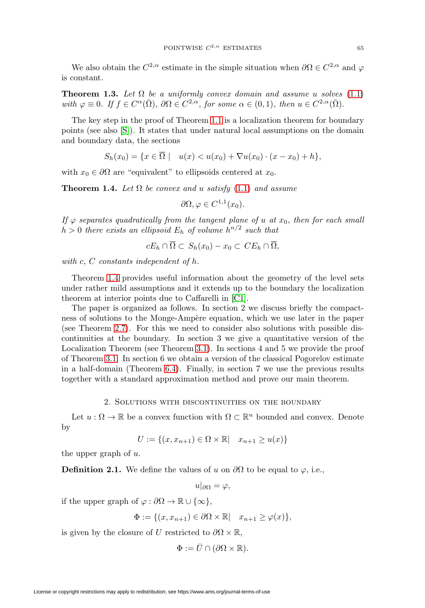We also obtain the  $C^{2,\alpha}$  estimate in the simple situation when  $\partial\Omega \in C^{2,\alpha}$  and  $\varphi$ is constant.

**Theorem 1.3.** Let  $\Omega$  be a uniformly convex domain and assume u solves [\(1.1\)](#page-1-1) with  $\varphi \equiv 0$ . If  $f \in C^{\alpha}(\overline{\Omega})$ ,  $\partial \Omega \in C^{2,\alpha}$ , for some  $\alpha \in (0,1)$ , then  $u \in C^{2,\alpha}(\overline{\Omega})$ .

The key step in the proof of Theorem [1.1](#page-1-0) is a localization theorem for boundary points (see also [\[S\]](#page-35-7)). It states that under natural local assumptions on the domain and boundary data, the sections

$$
S_h(x_0) = \{ x \in \overline{\Omega} \mid u(x) < u(x_0) + \nabla u(x_0) \cdot (x - x_0) + h \},
$$

with  $x_0 \in \partial\Omega$  are "equivalent" to ellipsoids centered at  $x_0$ .

<span id="page-2-0"></span>**Theorem 1.4.** Let  $\Omega$  be convex and u satisfy [\(1.1\)](#page-1-1) and assume

$$
\partial\Omega, \varphi \in C^{1,1}(x_0).
$$

If  $\varphi$  separates quadratically from the tangent plane of u at  $x_0$ , then for each small  $h > 0$  there exists an ellipsoid  $E_h$  of volume  $h^{n/2}$  such that

$$
cE_h \cap \Omega \subset S_h(x_0) - x_0 \subset CE_h \cap \Omega,
$$

with c, C constants independent of h.

Theorem [1.4](#page-2-0) provides useful information about the geometry of the level sets under rather mild assumptions and it extends up to the boundary the localization theorem at interior points due to Caffarelli in [\[C1\]](#page-35-8).

The paper is organized as follows. In section 2 we discuss briefly the compactness of solutions to the Monge-Ampère equation, which we use later in the paper (see Theorem [2.7\)](#page-6-0). For this we need to consider also solutions with possible discontinuities at the boundary. In section 3 we give a quantitative version of the Localization Theorem (see Theorem [3.1\)](#page-7-1). In sections 4 and 5 we provide the proof of Theorem [3.1.](#page-7-1) In section 6 we obtain a version of the classical Pogorelov estimate in a half-domain (Theorem [6.4\)](#page-25-0). Finally, in section 7 we use the previous results together with a standard approximation method and prove our main theorem.

## 2. Solutions with discontinuities on the boundary

Let  $u : \Omega \to \mathbb{R}$  be a convex function with  $\Omega \subset \mathbb{R}^n$  bounded and convex. Denote by

$$
U := \{(x, x_{n+1}) \in \Omega \times \mathbb{R} \mid x_{n+1} \ge u(x)\}\
$$

the upper graph of u.

<span id="page-2-1"></span>**Definition 2.1.** We define the values of u on  $\partial\Omega$  to be equal to  $\varphi$ , i.e.,

$$
u|_{\partial\Omega}=\varphi,
$$

if the upper graph of  $\varphi : \partial \Omega \to \mathbb{R} \cup {\infty}$ ,

 $\Phi := \{ (x, x_{n+1}) \in \partial \Omega \times \mathbb{R} \mid x_{n+1} > \varphi(x) \},\$ 

is given by the closure of U restricted to  $\partial\Omega \times \mathbb{R}$ ,

$$
\Phi := \bar{U} \cap (\partial \Omega \times \mathbb{R}).
$$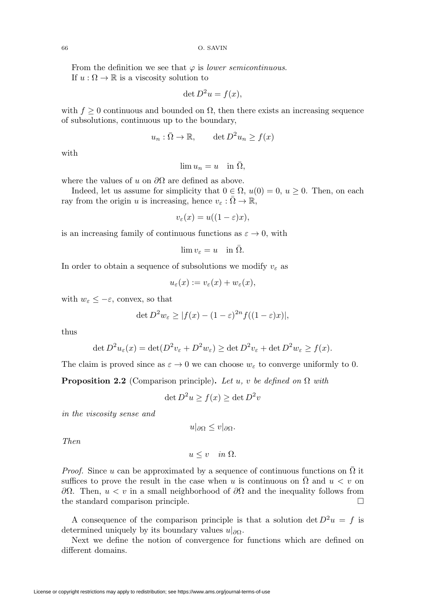From the definition we see that  $\varphi$  is *lower semicontinuous*. If  $u : \Omega \to \mathbb{R}$  is a viscosity solution to

$$
\det D^2 u = f(x),
$$

with  $f \geq 0$  continuous and bounded on  $\Omega$ , then there exists an increasing sequence of subsolutions, continuous up to the boundary,

$$
u_n : \overline{\Omega} \to \mathbb{R}, \qquad \det D^2 u_n \ge f(x)
$$

with

$$
\lim u_n = u \quad \text{in } \bar{\Omega},
$$

where the values of u on  $\partial\Omega$  are defined as above.

Indeed, let us assume for simplicity that  $0 \in \Omega$ ,  $u(0) = 0$ ,  $u \ge 0$ . Then, on each ray from the origin u is increasing, hence  $v_{\varepsilon} : \Omega \to \mathbb{R}$ ,

$$
v_{\varepsilon}(x) = u((1 - \varepsilon)x),
$$

is an increasing family of continuous functions as  $\varepsilon \to 0$ , with

$$
\lim v_{\varepsilon}=u\quad\text{in }\bar{\Omega}.
$$

In order to obtain a sequence of subsolutions we modify  $v_{\varepsilon}$  as

$$
u_{\varepsilon}(x) := v_{\varepsilon}(x) + w_{\varepsilon}(x),
$$

with  $w_{\varepsilon} \leq -\varepsilon$ , convex, so that

$$
\det D^2 w_{\varepsilon} \ge |f(x) - (1 - \varepsilon)^{2n} f((1 - \varepsilon)x)|,
$$

thus

$$
\det D^2 u_{\varepsilon}(x) = \det (D^2 v_{\varepsilon} + D^2 w_{\varepsilon}) \ge \det D^2 v_{\varepsilon} + \det D^2 w_{\varepsilon} \ge f(x).
$$

The claim is proved since as  $\varepsilon \to 0$  we can choose  $w_{\varepsilon}$  to converge uniformly to 0.

<span id="page-3-0"></span>**Proposition 2.2** (Comparison principle). Let u, v be defined on  $\Omega$  with

$$
\det D^2 u \ge f(x) \ge \det D^2 v
$$

in the viscosity sense and

 $u|_{\partial\Omega} \leq v|_{\partial\Omega}.$ 

Then

 $u \leq v \quad in \ \Omega.$ 

*Proof.* Since u can be approximated by a sequence of continuous functions on  $\Omega$  it suffices to prove the result in the case when u is continuous on  $\Omega$  and  $u < v$  on  $\partial Ω$ . Then,  $u < v$  in a small neighborhood of  $\partial Ω$  and the inequality follows from the standard comparison principle.  $\Box$ 

A consequence of the comparison principle is that a solution det  $D^2u = f$  is determined uniquely by its boundary values  $u|_{\partial\Omega}$ .

Next we define the notion of convergence for functions which are defined on different domains.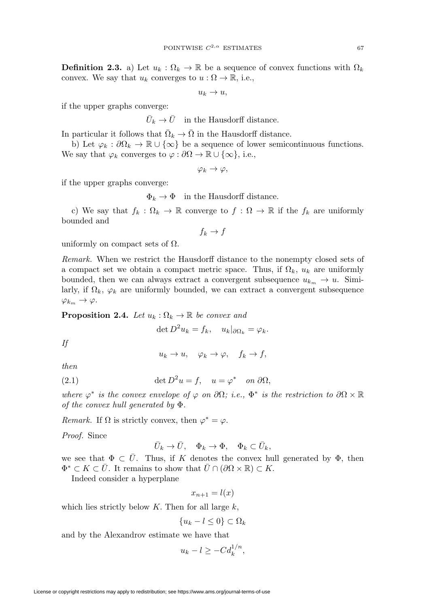<span id="page-4-2"></span>**Definition 2.3.** a) Let  $u_k : \Omega_k \to \mathbb{R}$  be a sequence of convex functions with  $\Omega_k$ convex. We say that  $u_k$  converges to  $u : \Omega \to \mathbb{R}$ , i.e.,

 $u_k \to u$ ,

if the upper graphs converge:

 $\bar{U}_k \rightarrow \bar{U}^-$  in the Hausdorff distance.

In particular it follows that  $\overline{\Omega}_k \to \overline{\Omega}$  in the Hausdorff distance.

b) Let  $\varphi_k : \partial \Omega_k \to \mathbb{R} \cup {\infty}$  be a sequence of lower semicontinuous functions. We say that  $\varphi_k$  converges to  $\varphi : \partial \Omega \to \mathbb{R} \cup \{\infty\}$ , i.e.,

 $\varphi_k \to \varphi$ ,

if the upper graphs converge:

 $\Phi_k \to \Phi$  in the Hausdorff distance.

c) We say that  $f_k : \Omega_k \to \mathbb{R}$  converge to  $f : \Omega \to \mathbb{R}$  if the  $f_k$  are uniformly bounded and

 $f_k \to f$ 

uniformly on compact sets of  $\Omega$ .

Remark. When we restrict the Hausdorff distance to the nonempty closed sets of a compact set we obtain a compact metric space. Thus, if  $\Omega_k$ ,  $u_k$  are uniformly bounded, then we can always extract a convergent subsequence  $u_{k_m} \to u$ . Similarly, if  $\Omega_k$ ,  $\varphi_k$  are uniformly bounded, we can extract a convergent subsequence  $\varphi_{k_m} \to \varphi.$ 

<span id="page-4-0"></span>**Proposition 2.4.** Let  $u_k : \Omega_k \to \mathbb{R}$  be convex and

$$
\det D^2 u_k = f_k, \quad u_k|_{\partial \Omega_k} = \varphi_k.
$$

If

$$
u_k \to u, \quad \varphi_k \to \varphi, \quad f_k \to f,
$$

then

<span id="page-4-1"></span>(2.1) 
$$
\det D^2 u = f, \quad u = \varphi^* \quad on \ \partial \Omega,
$$

where  $\varphi^*$  is the convex envelope of  $\varphi$  on  $\partial\Omega$ ; i.e.,  $\Phi^*$  is the restriction to  $\partial\Omega \times \mathbb{R}$ of the convex hull generated by Φ.

Remark. If  $\Omega$  is strictly convex, then  $\varphi^* = \varphi$ .

Proof. Since

$$
\bar U_k\to \bar U,\quad \Phi_k\to \Phi,\quad \Phi_k\subset \bar U_k,
$$

we see that  $\Phi \subset \overline{U}$ . Thus, if K denotes the convex hull generated by  $\Phi$ , then  $\Phi^* \subset K \subset \overline{U}$ . It remains to show that  $\overline{U} \cap (\partial \Omega \times \mathbb{R}) \subset K$ .

Indeed consider a hyperplane

$$
x_{n+1} = l(x)
$$

which lies strictly below  $K$ . Then for all large  $k$ ,

$$
\{u_k - l \le 0\} \subset \Omega_k
$$

and by the Alexandrov estimate we have that

$$
u_k - l \ge -Cd_k^{1/n},
$$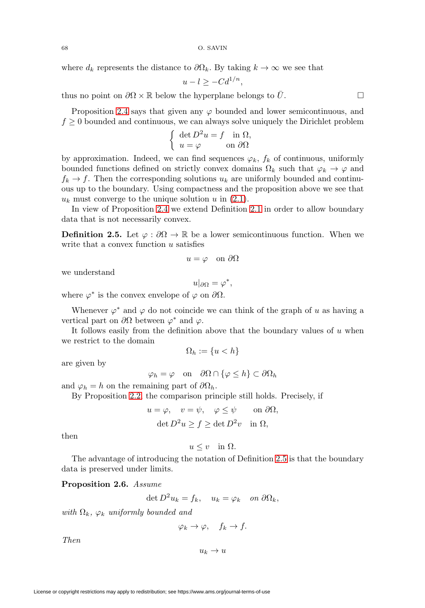where  $d_k$  represents the distance to  $\partial \Omega_k$ . By taking  $k \to \infty$  we see that

$$
u - l \ge -Cd^{1/n},
$$

thus no point on  $\partial\Omega \times \mathbb{R}$  below the hyperplane belongs to  $\overline{U}$ .

Proposition [2.4](#page-4-0) says that given any  $\varphi$  bounded and lower semicontinuous, and  $f \geq 0$  bounded and continuous, we can always solve uniquely the Dirichlet problem

$$
\begin{cases} \det D^2 u = f \quad \text{in } \Omega, \\ u = \varphi \qquad \text{on } \partial \Omega \end{cases}
$$

by approximation. Indeed, we can find sequences  $\varphi_k$ ,  $f_k$  of continuous, uniformly bounded functions defined on strictly convex domains  $\Omega_k$  such that  $\varphi_k \to \varphi$  and  $f_k \to f$ . Then the corresponding solutions  $u_k$  are uniformly bounded and continuous up to the boundary. Using compactness and the proposition above we see that  $u_k$  must converge to the unique solution u in  $(2.1)$ .

In view of Proposition [2.4](#page-4-0) we extend Definition [2.1](#page-2-1) in order to allow boundary data that is not necessarily convex.

<span id="page-5-0"></span>**Definition 2.5.** Let  $\varphi : \partial\Omega \to \mathbb{R}$  be a lower semicontinuous function. When we write that a convex function  $u$  satisfies

$$
u = \varphi \quad \text{on } \partial \Omega
$$

we understand

$$
u|_{\partial\Omega}=\varphi^*,
$$

where  $\varphi^*$  is the convex envelope of  $\varphi$  on  $\partial\Omega$ .

Whenever  $\varphi^*$  and  $\varphi$  do not coincide we can think of the graph of u as having a vertical part on  $\partial\Omega$  between  $\varphi^*$  and  $\varphi$ .

It follows easily from the definition above that the boundary values of  $u$  when we restrict to the domain

$$
\Omega_h := \{ u < h \}
$$

are given by

$$
\varphi_h = \varphi
$$
 on  $\partial\Omega \cap {\varphi \leq h} \subset \partial\Omega_h$ 

and  $\varphi_h = h$  on the remaining part of  $\partial \Omega_h$ .

By Proposition [2.2,](#page-3-0) the comparison principle still holds. Precisely, if

$$
u = \varphi
$$
,  $v = \psi$ ,  $\varphi \le \psi$  on  $\partial \Omega$ ,  
\n $\det D^2 u \ge f \ge \det D^2 v$  in  $\Omega$ ,

then

 $u \leq v$  in  $\Omega$ .

The advantage of introducing the notation of Definition [2.5](#page-5-0) is that the boundary data is preserved under limits.

## <span id="page-5-1"></span>**Proposition 2.6.** Assume

$$
\det D^2 u_k = f_k, \quad u_k = \varphi_k \quad on \ \partial \Omega_k,
$$

with  $\Omega_k$ ,  $\varphi_k$  uniformly bounded and

 $\varphi_k \to \varphi$ ,  $f_k \to f$ .

Then

 $u_k \to u$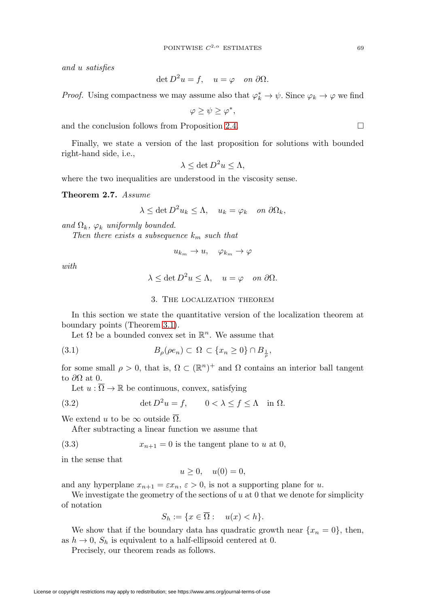and u satisfies

$$
\det D^2 u = f, \quad u = \varphi \quad on \ \partial \Omega.
$$

*Proof.* Using compactness we may assume also that  $\varphi_k^* \to \psi$ . Since  $\varphi_k \to \varphi$  we find

$$
\varphi \geq \psi \geq \varphi^*,
$$

and the conclusion follows from Proposition [2.4.](#page-4-0)  $\Box$ 

Finally, we state a version of the last proposition for solutions with bounded right-hand side, i.e.,

$$
\lambda \leq \det D^2 u \leq \Lambda,
$$

where the two inequalities are understood in the viscosity sense.

<span id="page-6-0"></span>**Theorem 2.7.** Assume

$$
\lambda \leq \det D^2 u_k \leq \Lambda, \quad u_k = \varphi_k \quad on \ \partial \Omega_k,
$$

and  $\Omega_k$ ,  $\varphi_k$  uniformly bounded.

Then there exists a subsequence  $k_m$  such that

$$
u_{k_m}\to u,\quad \varphi_{k_m}\to \varphi
$$

with

$$
\lambda \le \det D^2 u \le \Lambda, \quad u = \varphi \quad on \ \partial \Omega.
$$

# 3. The localization theorem

In this section we state the quantitative version of the localization theorem at boundary points (Theorem [3.1\)](#page-7-1).

Let  $\Omega$  be a bounded convex set in  $\mathbb{R}^n$ . We assume that

<span id="page-6-1"></span>
$$
(3.1) \t B\rho(\rho en) \subset \Omega \subset \{x_n \ge 0\} \cap B_{\frac{1}{\rho}},
$$

for some small  $\rho > 0$ , that is,  $\Omega \subset (\mathbb{R}^n)^+$  and  $\Omega$  contains an interior ball tangent to  $\partial\Omega$  at 0.

Let  $u : \overline{\Omega} \to \mathbb{R}$  be continuous, convex, satisfying

<span id="page-6-3"></span>(3.2) 
$$
\det D^2 u = f, \qquad 0 < \lambda \le f \le \Lambda \quad \text{in } \Omega.
$$

We extend u to be  $\infty$  outside  $\overline{\Omega}$ .

After subtracting a linear function we assume that

<span id="page-6-2"></span>(3.3) 
$$
x_{n+1} = 0
$$
 is the tangent plane to u at 0,

in the sense that

$$
u \ge 0, \quad u(0) = 0,
$$

and any hyperplane  $x_{n+1} = \varepsilon x_n$ ,  $\varepsilon > 0$ , is not a supporting plane for u.

We investigate the geometry of the sections of  $u$  at 0 that we denote for simplicity of notation

$$
S_h := \{ x \in \overline{\Omega} : \quad u(x) < h \}.
$$

We show that if the boundary data has quadratic growth near  $\{x_n = 0\}$ , then, as  $h \to 0$ ,  $S_h$  is equivalent to a half-ellipsoid centered at 0.

Precisely, our theorem reads as follows.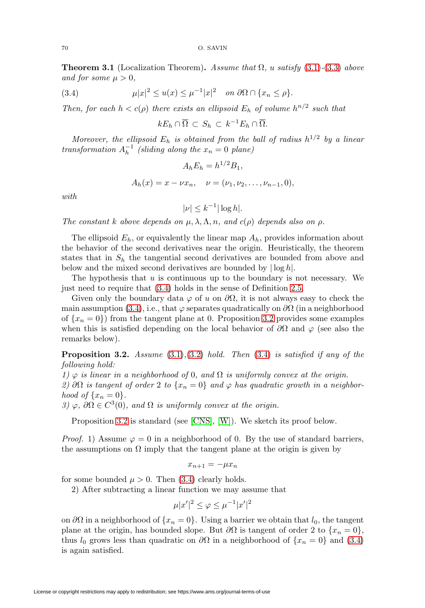<span id="page-7-1"></span>**Theorem 3.1** (Localization Theorem). Assume that  $\Omega$ , u satisfy [\(3.1\)](#page-6-1)-[\(3.3\)](#page-6-2) above and for some  $\mu > 0$ ,

<span id="page-7-2"></span>(3.4) 
$$
\mu |x|^2 \le u(x) \le \mu^{-1} |x|^2 \quad \text{on } \partial \Omega \cap \{x_n \le \rho\}.
$$

Then, for each  $h < c(\rho)$  there exists an ellipsoid  $E_h$  of volume  $h^{n/2}$  such that

$$
kE_h \cap \overline{\Omega} \subset S_h \subset k^{-1}E_h \cap \overline{\Omega}.
$$

Moreover, the ellipsoid  $E_h$  is obtained from the ball of radius  $h^{1/2}$  by a linear transformation  $A_h^{-1}$  (sliding along the  $x_n = 0$  plane)

$$
A_h E_h = h^{1/2} B_1,
$$
  
\n
$$
A_h(x) = x - \nu x_n, \quad \nu = (\nu_1, \nu_2, \dots, \nu_{n-1}, 0),
$$

with

$$
|\nu| \le k^{-1} |\log h|.
$$

The constant k above depends on  $\mu$ ,  $\lambda$ ,  $\Lambda$ ,  $n$ , and  $c(\rho)$  depends also on  $\rho$ .

The ellipsoid  $E_h$ , or equivalently the linear map  $A_h$ , provides information about the behavior of the second derivatives near the origin. Heuristically, the theorem states that in  $S_h$  the tangential second derivatives are bounded from above and below and the mixed second derivatives are bounded by  $|\log h|$ .

The hypothesis that  $u$  is continuous up to the boundary is not necessary. We just need to require that [\(3.4\)](#page-7-2) holds in the sense of Definition [2.5.](#page-5-0)

Given only the boundary data  $\varphi$  of u on  $\partial\Omega$ , it is not always easy to check the main assumption [\(3.4\)](#page-7-2), i.e., that  $\varphi$  separates quadratically on  $\partial\Omega$  (in a neighborhood of  $\{x_n = 0\}$  from the tangent plane at 0. Proposition [3.2](#page-7-0) provides some examples when this is satisfied depending on the local behavior of  $\partial\Omega$  and  $\varphi$  (see also the remarks below).

<span id="page-7-0"></span>**Proposition 3.2.** Assume [\(3.1\)](#page-6-1),[\(3.2\)](#page-6-3) hold. Then [\(3.4\)](#page-7-2) is satisfied if any of the following hold:

1)  $\varphi$  is linear in a neighborhood of 0, and  $\Omega$  is uniformly convex at the origin.

2) ∂Ω is tangent of order 2 to  $\{x_n = 0\}$  and  $\varphi$  has quadratic growth in a neighborhood of  $\{x_n = 0\}.$ 

3)  $\varphi$ ,  $\partial\Omega \in C^3(0)$ , and  $\Omega$  is uniformly convex at the origin.

Proposition [3.2](#page-7-0) is standard (see [\[CNS\]](#page-35-2), [\[W\]](#page-36-1)). We sketch its proof below.

*Proof.* 1) Assume  $\varphi = 0$  in a neighborhood of 0. By the use of standard barriers, the assumptions on  $\Omega$  imply that the tangent plane at the origin is given by

$$
x_{n+1} = -\mu x_n
$$

for some bounded  $\mu > 0$ . Then [\(3.4\)](#page-7-2) clearly holds.

2) After subtracting a linear function we may assume that

$$
\mu |x'|^2 \le \varphi \le \mu^{-1} |x'|^2
$$

on  $\partial\Omega$  in a neighborhood of  $\{x_n = 0\}$ . Using a barrier we obtain that  $l_0$ , the tangent plane at the origin, has bounded slope. But  $\partial\Omega$  is tangent of order 2 to  $\{x_n = 0\}$ , thus  $l_0$  grows less than quadratic on  $\partial\Omega$  in a neighborhood of  $\{x_n = 0\}$  and  $(3.4)$ is again satisfied.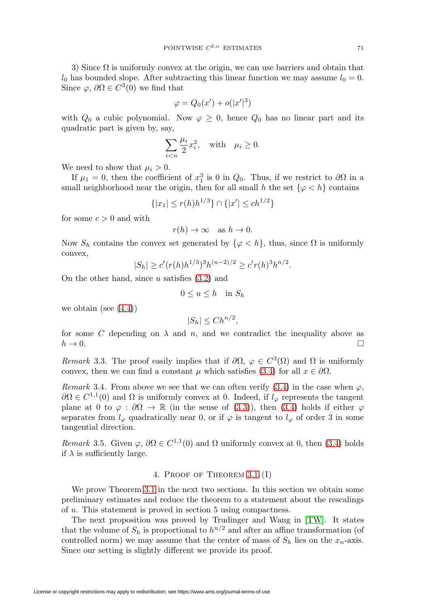3) Since  $\Omega$  is uniformly convex at the origin, we can use barriers and obtain that  $l_0$  has bounded slope. After subtracting this linear function we may assume  $l_0 = 0$ . Since  $\varphi$ ,  $\partial \Omega \in C^3(0)$  we find that

$$
\varphi = Q_0(x') + o(|x'|^3)
$$

with  $Q_0$  a cubic polynomial. Now  $\varphi \geq 0$ , hence  $Q_0$  has no linear part and its quadratic part is given by, say,

$$
\sum_{i
$$

We need to show that  $\mu_i > 0$ .

If  $\mu_1 = 0$ , then the coefficient of  $x_1^3$  is 0 in  $Q_0$ . Thus, if we restrict to  $\partial\Omega$  in a small neighborhood near the origin, then for all small h the set  $\{\varphi < h\}$  contains

$$
\{|x_1| \le r(h)h^{1/3}\} \cap \{|x'| \le ch^{1/2}\}\
$$

for some  $c > 0$  and with

$$
r(h) \to \infty \quad \text{as } h \to 0.
$$

Now  $S_h$  contains the convex set generated by  $\{\varphi < h\}$ , thus, since  $\Omega$  is uniformly convex,

$$
|S_h| \ge c'(r(h)h^{1/3})^3 h^{(n-2)/2} \ge c'r(h)^3 h^{n/2}.
$$

On the other hand, since  $u$  satisfies  $(3.2)$  and

$$
0 \le u \le h \quad \text{in } S_h
$$

we obtain (see  $(4.4)$ )

$$
|S_h| \le Ch^{n/2},
$$

for some C depending on  $\lambda$  and n, and we contradict the inequality above as  $h \to 0.$ 

Remark 3.3. The proof easily implies that if  $\partial\Omega$ ,  $\varphi \in C^3(\Omega)$  and  $\Omega$  is uniformly convex, then we can find a constant  $\mu$  which satisfies [\(3.4\)](#page-7-2) for all  $x \in \partial\Omega$ .

Remark 3.4. From above we see that we can often verify [\(3.4\)](#page-7-2) in the case when  $\varphi$ ,  $\partial\Omega \in C^{1,1}(0)$  and  $\Omega$  is uniformly convex at 0. Indeed, if  $l_{\varphi}$  represents the tangent plane at 0 to  $\varphi : \partial\Omega \to \mathbb{R}$  (in the sense of [\(3.3\)](#page-6-2)), then [\(3.4\)](#page-7-2) holds if either  $\varphi$ separates from  $l_{\varphi}$  quadratically near 0, or if  $\varphi$  is tangent to  $l_{\varphi}$  of order 3 in some tangential direction.

Remark 3.5. Given  $\varphi$ ,  $\partial\Omega \in C^{1,1}(0)$  and  $\Omega$  uniformly convex at 0, then [\(3.4\)](#page-7-2) holds if  $\lambda$  is sufficiently large.

## 4. Proof of Theorem [3.1](#page-7-1) (I)

We prove Theorem [3.1](#page-7-1) in the next two sections. In this section we obtain some preliminary estimates and reduce the theorem to a statement about the rescalings of u. This statement is proved in section 5 using compactness.

The next proposition was proved by Trudinger and Wang in [\[TW\]](#page-36-0). It states that the volume of  $S_h$  is proportional to  $h^{n/2}$  and after an affine transformation (of controlled norm) we may assume that the center of mass of  $S_h$  lies on the  $x_n$ -axis. Since our setting is slightly different we provide its proof.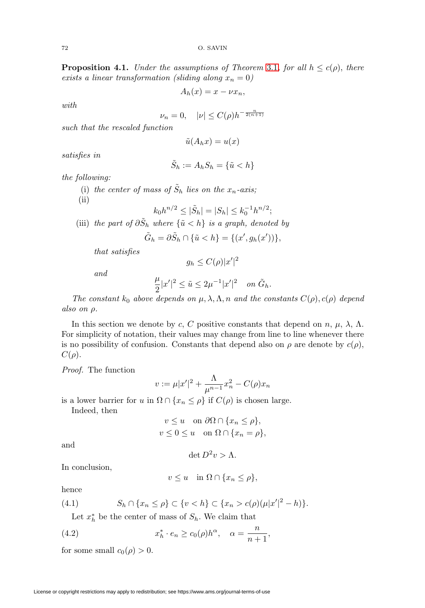<span id="page-9-2"></span>**Proposition 4.1.** Under the assumptions of Theorem [3.1](#page-7-1), for all  $h \leq c(\rho)$ , there exists a linear transformation (sliding along  $x_n = 0$ )

$$
A_h(x) = x - \nu x_n,
$$

with

$$
\nu_n = 0, \quad |\nu| \le C(\rho) h^{-\frac{n}{2(n+1)}}
$$

such that the rescaled function

$$
\tilde{u}(A_h x) = u(x)
$$

satisfies in

$$
\tilde{S}_h := A_h S_h = \{\tilde{u} < h\}
$$

the following:

(i) the center of mass of  $\tilde{S}_h$  lies on the  $x_n$ -axis;

 $(ii)$ 

$$
k_0h^{n/2} \le |\tilde{S}_h| = |S_h| \le k_0^{-1}h^{n/2};
$$

(iii) the part of  $\partial \tilde{S}_h$  where  $\{\tilde{u} < h\}$  is a graph, denoted by

$$
\tilde{G}_h = \partial \tilde{S}_h \cap \{\tilde{u} < h\} = \{(x', g_h(x'))\},\
$$

that satisfies

$$
g_h \le C(\rho)|x'|^2
$$

and

$$
\frac{\mu}{2}|x'|^2\leq \tilde u\leq 2\mu^{-1}|x'|^2\quad\text{on }\tilde G_h.
$$

The constant  $k_0$  above depends on  $\mu$ ,  $\lambda$ ,  $\Lambda$ ,  $n$  and the constants  $C(\rho)$ ,  $c(\rho)$  depend also on ρ.

In this section we denote by c, C positive constants that depend on n,  $\mu$ ,  $\lambda$ ,  $\Lambda$ . For simplicity of notation, their values may change from line to line whenever there is no possibility of confusion. Constants that depend also on  $\rho$  are denote by  $c(\rho)$ ,  $C(\rho)$ .

Proof. The function

$$
v := \mu |x'|^2 + \frac{\Lambda}{\mu^{n-1}} x_n^2 - C(\rho) x_n
$$

is a lower barrier for u in  $\Omega \cap \{x_n \leq \rho\}$  if  $C(\rho)$  is chosen large.

Indeed, then

$$
v \le u \quad \text{on } \partial\Omega \cap \{x_n \le \rho\},
$$
  

$$
v \le 0 \le u \quad \text{on } \Omega \cap \{x_n = \rho\},
$$

and

$$
\det D^2 v > \Lambda.
$$

In conclusion,

$$
v \le u \quad \text{in } \Omega \cap \{x_n \le \rho\},
$$

hence

<span id="page-9-0"></span>(4.1) 
$$
S_h \cap \{x_n \leq \rho\} \subset \{v < h\} \subset \{x_n > c(\rho)(\mu |x'|^2 - h)\}.
$$

Let  $x_h^*$  be the center of mass of  $S_h$ . We claim that

<span id="page-9-1"></span>(4.2) 
$$
x_h^* \cdot e_n \ge c_0(\rho) h^{\alpha}, \quad \alpha = \frac{n}{n+1},
$$

for some small  $c_0(\rho) > 0$ .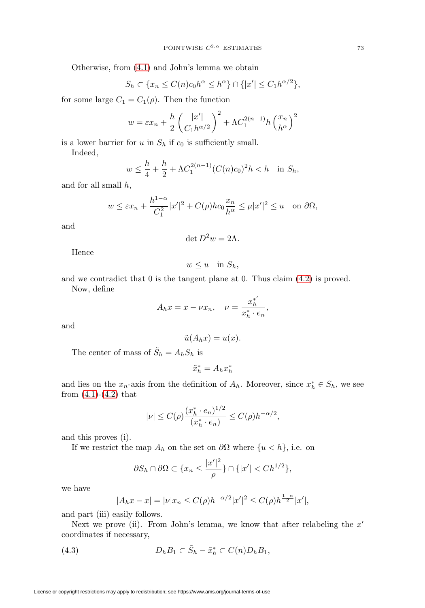Otherwise, from [\(4.1\)](#page-9-0) and John's lemma we obtain

$$
S_h \subset \{x_n \le C(n)c_0h^{\alpha} \le h^{\alpha}\} \cap \{|x'| \le C_1h^{\alpha/2}\},\
$$

for some large  $C_1 = C_1(\rho)$ . Then the function

$$
w = \varepsilon x_n + \frac{h}{2} \left( \frac{|x'|}{C_1 h^{\alpha/2}} \right)^2 + \Lambda C_1^{2(n-1)} h \left( \frac{x_n}{h^{\alpha}} \right)^2
$$

is a lower barrier for  $u$  in  $S_h$  if  $c_0$  is sufficiently small.

Indeed,

$$
w \le \frac{h}{4} + \frac{h}{2} + \Lambda C_1^{2(n-1)} (C(n)c_0)^2 h < h \quad \text{in } S_h,
$$

and for all small  $h$ ,

$$
w \le \varepsilon x_n + \frac{h^{1-\alpha}}{C_1^2} |x'|^2 + C(\rho) h c_0 \frac{x_n}{h^\alpha} \le \mu |x'|^2 \le u
$$
 on  $\partial \Omega$ ,

and

$$
\det D^2 w = 2\Lambda.
$$

Hence

 $w \leq u$  in  $S_h$ ,

and we contradict that 0 is the tangent plane at 0. Thus claim [\(4.2\)](#page-9-1) is proved. Now, define

$$
A_h x = x - \nu x_n, \quad \nu = \frac{x_h^{*'}}{x_h^{*} \cdot e_n},
$$

and

$$
\tilde{u}(A_h x) = u(x).
$$

The center of mass of  $\tilde{S}_h = A_h S_h$  is

 $\tilde{x}_h^* = A_h x_h^*$ 

and lies on the  $x_n$ -axis from the definition of  $A_h$ . Moreover, since  $x_h^* \in S_h$ , we see from  $(4.1)-(4.2)$  $(4.1)-(4.2)$  $(4.1)-(4.2)$  that

$$
|\nu| \le C(\rho) \frac{(x_h^* \cdot e_n)^{1/2}}{(x_h^* \cdot e_n)} \le C(\rho) h^{-\alpha/2},
$$

and this proves (i).

If we restrict the map  $A_h$  on the set on  $\partial\Omega$  where  $\{u < h\}$ , i.e. on

$$
\partial S_h \cap \partial \Omega \subset \{x_n \leq \frac{|x'|^2}{\rho} \} \cap \{ |x'| < C h^{1/2} \},\
$$

we have

$$
|A_hx - x| = |\nu|x_n \le C(\rho)h^{-\alpha/2}|x'|^2 \le C(\rho)h^{\frac{1-\alpha}{2}}|x'|,
$$

and part (iii) easily follows.

Next we prove (ii). From John's lemma, we know that after relabeling the  $x'$ coordinates if necessary,

<span id="page-10-0"></span>(4.3) 
$$
D_h B_1 \subset \tilde{S}_h - \tilde{x}_h^* \subset C(n)D_h B_1,
$$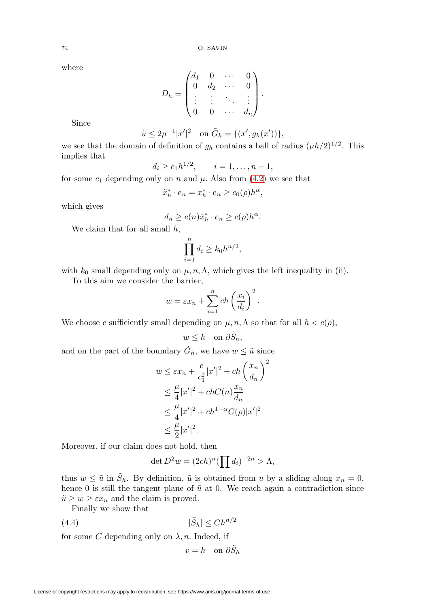where

$$
D_h = \begin{pmatrix} d_1 & 0 & \cdots & 0 \\ 0 & d_2 & \cdots & 0 \\ \vdots & \vdots & \ddots & \vdots \\ 0 & 0 & \cdots & d_n \end{pmatrix}.
$$

Since

$$
\tilde{u} \le 2\mu^{-1}|x'|^2
$$
 on  $\tilde{G}_h = \{(x', g_h(x'))\},\$ 

we see that the domain of definition of  $g_h$  contains a ball of radius  $(\mu h/2)^{1/2}$ . This implies that

$$
d_i \ge c_1 h^{1/2}, \qquad i = 1, \ldots, n-1,
$$

for some  $c_1$  depending only on n and  $\mu$ . Also from [\(4.2\)](#page-9-1) we see that

$$
\tilde{x}_h^* \cdot e_n = x_h^* \cdot e_n \ge c_0(\rho) h^{\alpha},
$$

which gives

$$
d_n \ge c(n)\tilde{x}_h^* \cdot e_n \ge c(\rho)h^{\alpha}.
$$

We claim that for all small  $h$ ,

$$
\prod_{i=1}^n d_i \ge k_0 h^{n/2},
$$

with  $k_0$  small depending only on  $\mu$ ,  $n$ ,  $\Lambda$ , which gives the left inequality in (ii).

To this aim we consider the barrier,

$$
w = \varepsilon x_n + \sum_{i=1}^n ch\left(\frac{x_i}{d_i}\right)^2
$$

.

We choose c sufficiently small depending on  $\mu$ ,  $n$ ,  $\Lambda$  so that for all  $h < c(\rho)$ ,

$$
w \leq h \quad \text{on } \partial \tilde{S}_h,
$$

and on the part of the boundary  $\tilde{G}_h$ , we have  $w \leq \tilde{u}$  since

$$
w \leq \varepsilon x_n + \frac{c}{c_1^2} |x'|^2 + ch\left(\frac{x_n}{d_n}\right)^2
$$
  
\n
$$
\leq \frac{\mu}{4} |x'|^2 + chC(n)\frac{x_n}{d_n}
$$
  
\n
$$
\leq \frac{\mu}{4} |x'|^2 + ch^{1-\alpha}C(\rho)|x'|^2
$$
  
\n
$$
\leq \frac{\mu}{2} |x'|^2.
$$

Moreover, if our claim does not hold, then

$$
\det D^2 w = (2ch)^n \left(\prod d_i\right)^{-2n} > \Lambda,
$$

thus  $w \leq \tilde{u}$  in  $\tilde{S}_h$ . By definition,  $\tilde{u}$  is obtained from u by a sliding along  $x_n = 0$ , hence 0 is still the tangent plane of  $\tilde{u}$  at 0. We reach again a contradiction since  $\tilde{u} \geq w \geq \varepsilon x_n$  and the claim is proved.

Finally we show that

<span id="page-11-0"></span>
$$
(4.4) \t\t |\tilde{S}_h| \le Ch^{n/2}
$$

for some C depending only on  $\lambda$ , n. Indeed, if

$$
v = h \quad \text{on } \partial \tilde{S}_h
$$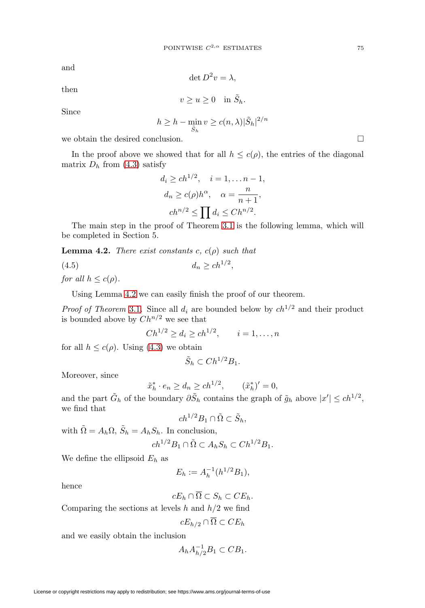and

$$
\det D^2 v = \lambda,
$$

then

$$
v \ge u \ge 0 \quad \text{in } \tilde{S}_h.
$$

Since

$$
h \ge h - \min_{\tilde{S}_h} v \ge c(n, \lambda) |\tilde{S}_h|^{2/n}
$$

we obtain the desired conclusion.

In the proof above we showed that for all  $h \leq c(\rho)$ , the entries of the diagonal matrix  $D_h$  from [\(4.3\)](#page-10-0) satisfy

$$
d_i \ge ch^{1/2}, \quad i = 1, \dots n - 1,
$$
  
\n
$$
d_n \ge c(\rho)h^{\alpha}, \quad \alpha = \frac{n}{n+1},
$$
  
\n
$$
ch^{n/2} \le \prod d_i \le Ch^{n/2}.
$$

The main step in the proof of Theorem [3.1](#page-7-1) is the following lemma, which will be completed in Section 5.

<span id="page-12-0"></span>**Lemma 4.2.** There exist constants c,  $c(\rho)$  such that

$$
(4.5) \t\t d_n \ge c h^{1/2},
$$

for all  $h \leq c(\rho)$ .

Using Lemma [4.2](#page-12-0) we can easily finish the proof of our theorem.

*Proof of Theorem* [3.1](#page-7-1). Since all  $d_i$  are bounded below by  $ch^{1/2}$  and their product is bounded above by  $Ch^{n/2}$  we see that

$$
Ch^{1/2} \ge d_i \ge ch^{1/2}, \qquad i = 1, \dots, n
$$

for all  $h \leq c(\rho)$ . Using [\(4.3\)](#page-10-0) we obtain

$$
\tilde{S}_h \subset Ch^{1/2}B_1.
$$

Moreover, since

$$
\tilde{x}_h^* \cdot e_n \ge d_n \ge ch^{1/2}, \qquad (\tilde{x}_h^*)' = 0,
$$

and the part  $\tilde{G}_h$  of the boundary  $\partial \tilde{S}_h$  contains the graph of  $\tilde{g}_h$  above  $|x'| \leq c h^{1/2}$ , we find that

$$
ch^{1/2}B_1 \cap \tilde{\Omega} \subset \tilde{S}_h,
$$

with  $\tilde{\Omega} = A_h \Omega$ ,  $\tilde{S}_h = A_h S_h$ . In conclusion,

$$
ch^{1/2}B_1 \cap \tilde{\Omega} \subset A_h S_h \subset Ch^{1/2}B_1.
$$

We define the ellipsoid  $E_h$  as

$$
E_h := A_h^{-1}(h^{1/2}B_1),
$$

hence

$$
cE_h \cap \overline{\Omega} \subset S_h \subset CE_h.
$$

Comparing the sections at levels  $h$  and  $h/2$  we find

$$
cE_{h/2} \cap \overline{\Omega} \subset CE_h
$$

and we easily obtain the inclusion

$$
A_h A_{h/2}^{-1} B_1 \subset CB_1.
$$

 $\Box$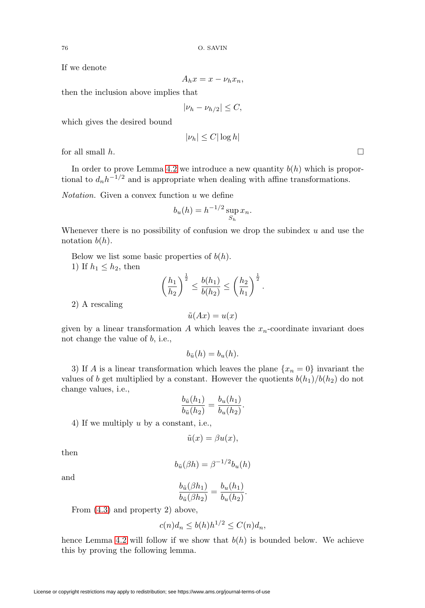If we denote

$$
A_h x = x - \nu_h x_n,
$$

then the inclusion above implies that

$$
|\nu_h - \nu_{h/2}| \le C,
$$

which gives the desired bound

$$
|\nu_h| \le C |\log h|
$$

for all small  $h$ .

In order to prove Lemma [4.2](#page-12-0) we introduce a new quantity  $b(h)$  which is proportional to  $d_n h^{-1/2}$  and is appropriate when dealing with affine transformations.

*Notation*. Given a convex function  $u$  we define

$$
b_u(h) = h^{-1/2} \sup_{S_h} x_n.
$$

Whenever there is no possibility of confusion we drop the subindex  $u$  and use the notation  $b(h)$ .

Below we list some basic properties of  $b(h)$ . 1) If  $h_1 \leq h_2$ , then

$$
\left(\frac{h_1}{h_2}\right)^{\frac{1}{2}} \leq \frac{b(h_1)}{b(h_2)} \leq \left(\frac{h_2}{h_1}\right)^{\frac{1}{2}}.
$$

2) A rescaling

$$
\tilde{u}(Ax) = u(x)
$$

given by a linear transformation A which leaves the  $x_n$ -coordinate invariant does not change the value of b, i.e.,

$$
b_{\tilde{u}}(h) = b_u(h).
$$

3) If A is a linear transformation which leaves the plane  $\{x_n = 0\}$  invariant the values of b get multiplied by a constant. However the quotients  $b(h_1)/b(h_2)$  do not change values, i.e.,

$$
\frac{b_{\tilde{u}}(h_1)}{b_{\tilde{u}}(h_2)} = \frac{b_u(h_1)}{b_u(h_2)}.
$$

4) If we multiply u by a constant, i.e.,

$$
\tilde{u}(x) = \beta u(x),
$$

then

$$
b_{\tilde{u}}(\beta h) = \beta^{-1/2} b_u(h)
$$

and

$$
\frac{b_{\tilde{u}}(\beta h_1)}{b_{\tilde{u}}(\beta h_2)} = \frac{b_u(h_1)}{b_u(h_2)}
$$

.

From [\(4.3\)](#page-10-0) and property 2) above,

$$
c(n)d_n \le b(h)h^{1/2} \le C(n)d_n,
$$

hence Lemma [4.2](#page-12-0) will follow if we show that  $b(h)$  is bounded below. We achieve this by proving the following lemma.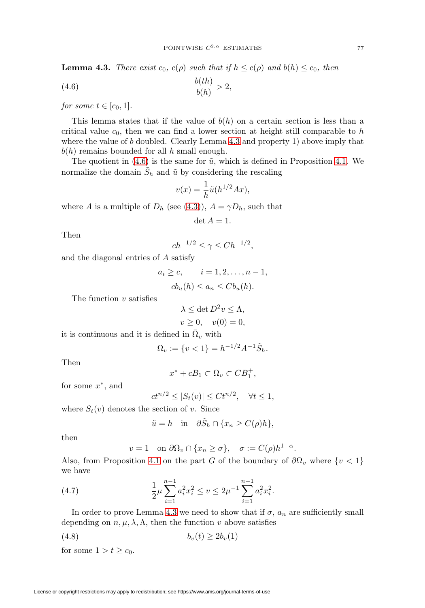<span id="page-14-0"></span>**Lemma 4.3.** There exist  $c_0$ ,  $c(\rho)$  such that if  $h \leq c(\rho)$  and  $b(h) \leq c_0$ , then

<span id="page-14-1"></span>
$$
\frac{b(th)}{b(h)} > 2,
$$

for some  $t \in [c_0, 1]$ .

This lemma states that if the value of  $b(h)$  on a certain section is less than a critical value  $c_0$ , then we can find a lower section at height still comparable to  $h$ where the value of  $b$  doubled. Clearly Lemma [4.3](#page-14-0) and property 1) above imply that  $b(h)$  remains bounded for all h small enough.

The quotient in  $(4.6)$  is the same for  $\tilde{u}$ , which is defined in Proposition [4.1.](#page-9-2) We normalize the domain  $S_h$  and  $\tilde{u}$  by considering the rescaling

$$
v(x) = \frac{1}{h}\tilde{u}(h^{1/2}Ax),
$$

where A is a multiple of  $D_h$  (see [\(4.3\)](#page-10-0)),  $A = \gamma D_h$ , such that

$$
\det A = 1.
$$

Then

$$
ch^{-1/2} \le \gamma \le Ch^{-1/2},
$$

and the diagonal entries of A satisfy

$$
a_i \ge c, \qquad i = 1, 2, \dots, n - 1,
$$
  

$$
cb_u(h) \le a_n \le Cb_u(h).
$$

The function  $v$  satisfies

$$
\lambda \le \det D^2 v \le \Lambda,
$$
  

$$
v \ge 0, \quad v(0) = 0,
$$

it is continuous and it is defined in  $\overline{\Omega}_v$  with

$$
\Omega_v := \{ v < 1 \} = h^{-1/2} A^{-1} \tilde{S}_h.
$$

Then

$$
x^* + cB_1 \subset \Omega_v \subset CB_1^+,
$$

for some  $x^*$ , and

$$
ct^{n/2} \le |S_t(v)| \le Ct^{n/2}, \quad \forall t \le 1,
$$

where  $S_t(v)$  denotes the section of v. Since

$$
\tilde{u} = h \quad \text{in} \quad \partial \tilde{S}_h \cap \{ x_n \ge C(\rho)h \},
$$

then

$$
v = 1
$$
 on  $\partial\Omega_v \cap \{x_n \ge \sigma\}$ ,  $\sigma := C(\rho)h^{1-\alpha}$ .

Also, from Proposition [4.1](#page-9-2) on the part G of the boundary of  $\partial\Omega_v$  where  $\{v < 1\}$ we have

(4.7) 
$$
\frac{1}{2}\mu \sum_{i=1}^{n-1} a_i^2 x_i^2 \le v \le 2\mu^{-1} \sum_{i=1}^{n-1} a_i^2 x_i^2.
$$

In order to prove Lemma [4.3](#page-14-0) we need to show that if  $\sigma$ ,  $a_n$  are sufficiently small depending on  $n, \mu, \lambda, \Lambda$ , then the function v above satisfies

<span id="page-14-2"></span>
$$
(4.8) \t\t\t b_v(t) \ge 2b_v(1)
$$

for some  $1 > t \geq c_0$ .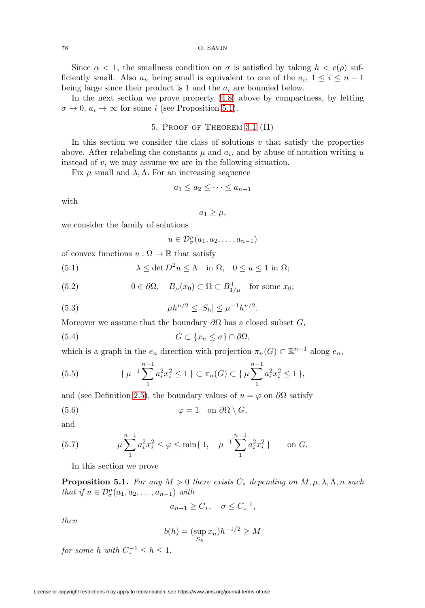Since  $\alpha < 1$ , the smallness condition on  $\sigma$  is satisfied by taking  $h < c(\rho)$  sufficiently small. Also  $a_n$  being small is equivalent to one of the  $a_i$ ,  $1 \leq i \leq n-1$ being large since their product is 1 and the  $a_i$  are bounded below.

In the next section we prove property [\(4.8\)](#page-14-2) above by compactness, by letting  $\sigma \to 0$ ,  $a_i \to \infty$  for some i (see Proposition [5.1\)](#page-15-0).

## 5. Proof of Theorem [3.1](#page-7-1) (II)

In this section we consider the class of solutions  $v$  that satisfy the properties above. After relabeling the constants  $\mu$  and  $a_i$ , and by abuse of notation writing u instead of v, we may assume we are in the following situation.

Fix  $\mu$  small and  $\lambda$ ,  $\Lambda$ . For an increasing sequence

$$
a_1 \le a_2 \le \cdots \le a_{n-1}
$$

with

$$
a_1 \geq \mu,
$$

we consider the family of solutions

$$
u \in \mathcal{D}_{\sigma}^{\mu}(a_1, a_2, \ldots, a_{n-1})
$$

of convex functions  $u : \Omega \to \mathbb{R}$  that satisfy

<span id="page-15-1"></span>(5.1) 
$$
\lambda \leq \det D^2 u \leq \Lambda \quad \text{in } \Omega, \quad 0 \leq u \leq 1 \text{ in } \Omega;
$$

<span id="page-15-2"></span>(5.2) 
$$
0 \in \partial \Omega, \quad B_{\mu}(x_0) \subset \Omega \subset B_{1/\mu}^+ \quad \text{for some } x_0;
$$

<span id="page-15-3"></span>(5.3) 
$$
\mu h^{n/2} \le |S_h| \le \mu^{-1} h^{n/2}.
$$

Moreover we assume that the boundary  $\partial\Omega$  has a closed subset G,

(5.4) 
$$
G \subset \{x_n \leq \sigma\} \cap \partial \Omega,
$$

which is a graph in the  $e_n$  direction with projection  $\pi_n(G) \subset \mathbb{R}^{n-1}$  along  $e_n$ ,

(5.5) 
$$
\{\mu^{-1}\sum_{1}^{n-1}a_i^2x_i^2\leq 1\}\subset \pi_n(G)\subset \{\mu\sum_{1}^{n-1}a_i^2x_i^2\leq 1\},\
$$

and (see Definition [2.5\)](#page-5-0), the boundary values of  $u = \varphi$  on  $\partial\Omega$  satisfy

$$
\varphi = 1 \quad \text{on } \partial\Omega \setminus G,
$$

and

(5.7) 
$$
\mu \sum_{1}^{n-1} a_i^2 x_i^2 \le \varphi \le \min\{1, \quad \mu^{-1} \sum_{1}^{n-1} a_i^2 x_i^2\} \quad \text{on } G.
$$

In this section we prove

<span id="page-15-0"></span>**Proposition 5.1.** For any  $M > 0$  there exists  $C_*$  depending on  $M, \mu, \lambda, \Lambda, n$  such that if  $u \in \mathcal{D}_{\sigma}^{\mu}(a_1, a_2, \ldots, a_{n-1})$  with

$$
a_{n-1} \ge C_*, \quad \sigma \le C_*^{-1},
$$

then

$$
b(h) = (\sup_{S_h} x_n)h^{-1/2} \ge M
$$

for some h with  $C_*^{-1} \leq h \leq 1$ .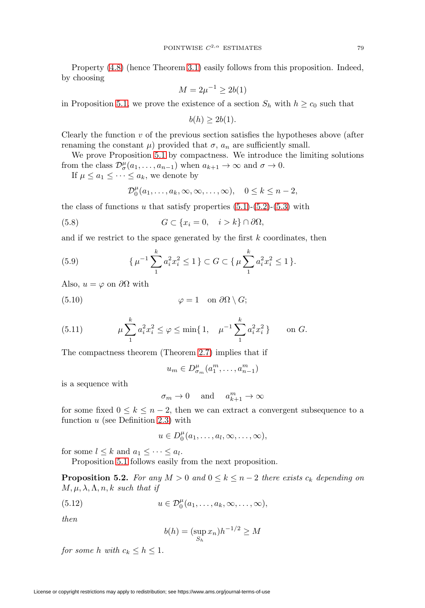Property  $(4.8)$  (hence Theorem [3.1\)](#page-7-1) easily follows from this proposition. Indeed, by choosing

$$
M=2\mu^{-1}\geq 2b(1)
$$

in Proposition [5.1,](#page-15-0) we prove the existence of a section  $S_h$  with  $h \geq c_0$  such that

$$
b(h) \ge 2b(1).
$$

Clearly the function  $v$  of the previous section satisfies the hypotheses above (after renaming the constant  $\mu$ ) provided that  $\sigma$ ,  $a_n$  are sufficiently small.

We prove Proposition [5.1](#page-15-0) by compactness. We introduce the limiting solutions from the class  $\mathcal{D}_{\sigma}^{\mu}(a_1,\ldots,a_{n-1})$  when  $a_{k+1} \to \infty$  and  $\sigma \to 0$ .

If  $\mu \leq a_1 \leq \cdots \leq a_k$ , we denote by

$$
\mathcal{D}_0^{\mu}(a_1,\ldots,a_k,\infty,\infty,\ldots,\infty), \quad 0 \le k \le n-2,
$$

the class of functions u that satisfy properties  $(5.1)-(5.2)-(5.3)$  $(5.1)-(5.2)-(5.3)$  $(5.1)-(5.2)-(5.3)$  $(5.1)-(5.2)-(5.3)$  $(5.1)-(5.2)-(5.3)$  with

(5.8) 
$$
G \subset \{x_i = 0, \quad i > k\} \cap \partial \Omega,
$$

and if we restrict to the space generated by the first  $k$  coordinates, then

(5.9) 
$$
\{\mu^{-1}\sum_{1}^{k} a_i^2 x_i^2 \le 1\} \subset G \subset \{\mu \sum_{1}^{k} a_i^2 x_i^2 \le 1\}.
$$

Also,  $u = \varphi$  on  $\partial \Omega$  with

(5.10) 
$$
\varphi = 1 \quad \text{on } \partial\Omega \setminus G;
$$

(5.11) 
$$
\mu \sum_{1}^{k} a_i^2 x_i^2 \le \varphi \le \min\{1, \quad \mu^{-1} \sum_{1}^{k} a_i^2 x_i^2\} \quad \text{on } G.
$$

The compactness theorem (Theorem [2.7\)](#page-6-0) implies that if

$$
u_m \in D^{\mu}_{\sigma_m}(a_1^m, \ldots, a_{n-1}^m)
$$

is a sequence with

$$
\sigma_m \to 0
$$
 and  $a_{k+1}^m \to \infty$ 

for some fixed  $0 \leq k \leq n-2$ , then we can extract a convergent subsequence to a function  $u$  (see Definition [2.3\)](#page-4-2) with

 $u \in D_0^{\mu}(a_1,\ldots,a_l,\infty,\ldots,\infty),$ 

for some  $l \leq k$  and  $a_1 \leq \cdots \leq a_l$ .

Proposition [5.1](#page-15-0) follows easily from the next proposition.

<span id="page-16-1"></span>**Proposition 5.2.** For any  $M > 0$  and  $0 \leq k \leq n-2$  there exists  $c_k$  depending on  $M, \mu, \lambda, \Lambda, n, k$  such that if

<span id="page-16-0"></span>(5.12) 
$$
u \in \mathcal{D}_0^{\mu}(a_1,\ldots,a_k,\infty,\ldots,\infty),
$$

then

$$
b(h) = (\sup_{S_h} x_n)h^{-1/2} \ge M
$$

for some h with  $c_k \leq h \leq 1$ .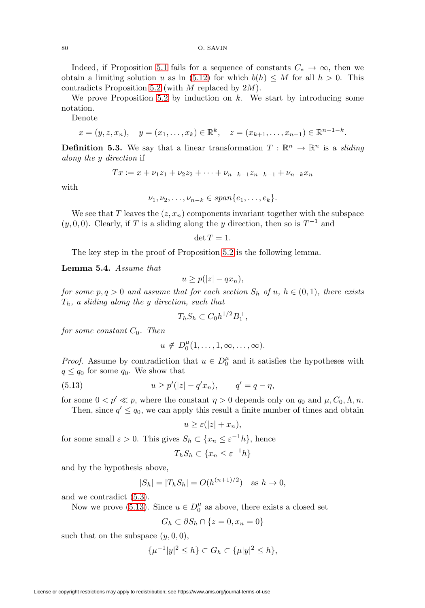80 O. SAVIN

Indeed, if Proposition [5.1](#page-15-0) fails for a sequence of constants  $C_* \to \infty$ , then we obtain a limiting solution u as in [\(5.12\)](#page-16-0) for which  $b(h) \leq M$  for all  $h > 0$ . This contradicts Proposition [5.2](#page-16-1) (with M replaced by 2M).

We prove Proposition [5.2](#page-16-1) by induction on  $k$ . We start by introducing some notation.

Denote

$$
x = (y, z, x_n), y = (x_1, \dots, x_k) \in \mathbb{R}^k, z = (x_{k+1}, \dots, x_{n-1}) \in \mathbb{R}^{n-1-k}.
$$

<span id="page-17-2"></span>**Definition 5.3.** We say that a linear transformation  $T : \mathbb{R}^n \to \mathbb{R}^n$  is a sliding along the y direction if

$$
Tx := x + \nu_1 z_1 + \nu_2 z_2 + \dots + \nu_{n-k-1} z_{n-k-1} + \nu_{n-k} x_n
$$

with

$$
\nu_1, \nu_2, \ldots, \nu_{n-k} \in span\{e_1, \ldots, e_k\}.
$$

We see that T leaves the  $(z, x_n)$  components invariant together with the subspace  $(y, 0, 0)$ . Clearly, if T is a sliding along the y direction, then so is  $T^{-1}$  and

$$
\det T=1.
$$

The key step in the proof of Proposition [5.2](#page-16-1) is the following lemma.

<span id="page-17-1"></span>**Lemma 5.4.** Assume that

$$
u \ge p(|z| - qx_n),
$$

for some  $p, q > 0$  and assume that for each section  $S_h$  of  $u, h \in (0, 1)$ , there exists  $T_h$ , a sliding along the y direction, such that

$$
T_h S_h \subset C_0 h^{1/2} B_1^+,
$$

for some constant  $C_0$ . Then

$$
u \notin D_0^{\mu}(1,\ldots,1,\infty,\ldots,\infty).
$$

*Proof.* Assume by contradiction that  $u \in D_0^{\mu}$  and it satisfies the hypotheses with  $q \leq q_0$  for some  $q_0$ . We show that

<span id="page-17-0"></span>(5.13) 
$$
u \ge p'(|z| - q'x_n), \qquad q' = q - \eta,
$$

for some  $0 < p' \ll p$ , where the constant  $\eta > 0$  depends only on  $q_0$  and  $\mu$ ,  $C_0$ ,  $\Lambda$ ,  $n$ .

Then, since  $q' \leq q_0$ , we can apply this result a finite number of times and obtain

$$
u \ge \varepsilon(|z| + x_n),
$$

for some small  $\varepsilon > 0$ . This gives  $S_h \subset \{x_n \leq \varepsilon^{-1}h\}$ , hence

$$
T_h S_h \subset \{x_n \le \varepsilon^{-1} h\}
$$

and by the hypothesis above,

$$
|S_h| = |T_h S_h| = O(h^{(n+1)/2})
$$
 as  $h \to 0$ ,

and we contradict [\(5.3\)](#page-15-3).

Now we prove  $(5.13)$ . Since  $u \in D_0^{\mu}$  as above, there exists a closed set

$$
G_h \subset \partial S_h \cap \{z = 0, x_n = 0\}
$$

such that on the subspace  $(y, 0, 0)$ ,

$$
\{\mu^{-1}|y|^2 \le h\} \subset G_h \subset \{\mu|y|^2 \le h\},\
$$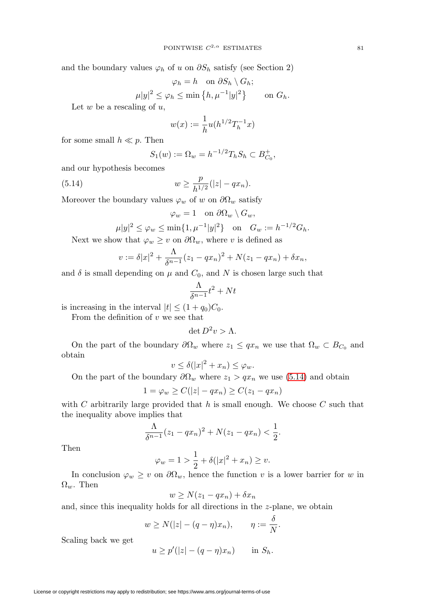and the boundary values  $\varphi_h$  of u on  $\partial S_h$  satisfy (see Section 2)

$$
\varphi_h = h \quad \text{on } \partial S_h \setminus G_h;
$$
  

$$
\mu |y|^2 \le \varphi_h \le \min \left\{ h, \mu^{-1} |y|^2 \right\} \qquad \text{on } G_h.
$$

Let  $w$  be a rescaling of  $u$ ,

$$
w(x) := \frac{1}{h}u(h^{1/2}T_h^{-1}x)
$$

for some small  $h \ll p$ . Then

$$
S_1(w) := \Omega_w = h^{-1/2} T_h S_h \subset B_{C_0}^+,
$$

and our hypothesis becomes

<span id="page-18-0"></span>(5.14) 
$$
w \geq \frac{p}{h^{1/2}}(|z| - qx_n).
$$

Moreover the boundary values  $\varphi_w$  of w on  $\partial\Omega_w$  satisfy

$$
\varphi_w = 1 \quad \text{on } \partial \Omega_w \setminus G_w,
$$

$$
\mu |y|^2 \le \varphi_w \le \min\{1, \mu^{-1}|y|^2\} \quad \text{on} \quad G_w := h^{-1/2} G_h.
$$

Next we show that  $\varphi_w \geq v$  on  $\partial \Omega_w$ , where v is defined as

$$
v := \delta |x|^2 + \frac{\Lambda}{\delta^{n-1}} (z_1 - qx_n)^2 + N(z_1 - qx_n) + \delta x_n,
$$

and  $\delta$  is small depending on  $\mu$  and  $C_0$ , and N is chosen large such that

$$
\frac{\Lambda}{\delta^{n-1}}t^2 + Nt
$$

is increasing in the interval  $|t| \leq (1+q_0)C_0$ .

From the definition of  $v$  we see that

$$
\det D^2 v > \Lambda.
$$

On the part of the boundary  $\partial\Omega_w$  where  $z_1 \leq qx_n$  we use that  $\Omega_w \subset B_{C_0}$  and obtain

$$
v \le \delta(|x|^2 + x_n) \le \varphi_w.
$$

On the part of the boundary  $\partial \Omega_w$  where  $z_1 > qx_n$  we use [\(5.14\)](#page-18-0) and obtain

$$
1 = \varphi_w \ge C(|z| - qx_n) \ge C(z_1 - qx_n)
$$

with C arbitrarily large provided that  $h$  is small enough. We choose C such that the inequality above implies that

$$
\frac{\Lambda}{\delta^{n-1}}(z_1-qx_n)^2 + N(z_1-qx_n) < \frac{1}{2}.
$$

Then

$$
\varphi_w = 1 > \frac{1}{2} + \delta(|x|^2 + x_n) \ge v.
$$

In conclusion  $\varphi_w \geq v$  on  $\partial \Omega_w$ , hence the function v is a lower barrier for w in  $\Omega_w$ . Then

$$
w \ge N(z_1 - qx_n) + \delta x_n
$$

and, since this inequality holds for all directions in the z-plane, we obtain

$$
w \ge N(|z| - (q - \eta)x_n), \qquad \eta := \frac{\delta}{N}.
$$

Scaling back we get

$$
u \ge p'(|z| - (q - \eta)x_n) \quad \text{in } S_h.
$$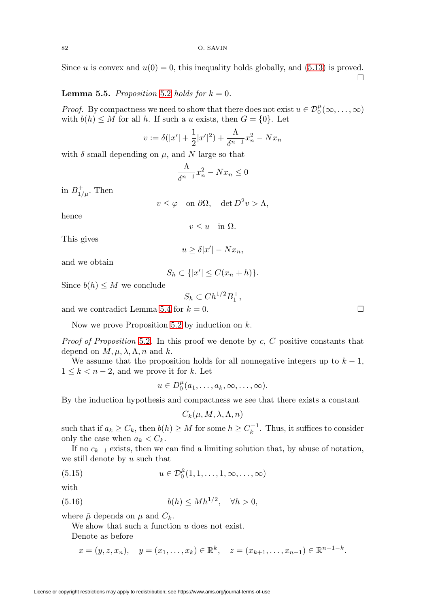Since u is convex and  $u(0) = 0$ , this inequality holds globally, and [\(5.13\)](#page-17-0) is proved.  $\Box$ 

## **Lemma 5.5.** Proposition [5.2](#page-16-1) holds for  $k = 0$ .

*Proof.* By compactness we need to show that there does not exist  $u \in \mathcal{D}_0^{\mu}(\infty, \ldots, \infty)$ with  $b(h) \leq M$  for all h. If such a u exists, then  $G = \{0\}$ . Let

$$
v := \delta(|x'| + \frac{1}{2}|x'|^2) + \frac{\Lambda}{\delta^{n-1}}x_n^2 - Nx_n
$$

with  $\delta$  small depending on  $\mu$ , and N large so that

$$
\frac{\Lambda}{\delta^{n-1}}x_n^2 - Nx_n \le 0
$$

in  $B_{1/\mu}^+$ . Then

 $v \leq \varphi$  on  $\partial \Omega$ , det  $D^2 v > \Lambda$ ,

hence

$$
v \le u \quad \text{in } \Omega.
$$

This gives

$$
u \ge \delta |x'| - Nx_n,
$$

and we obtain

$$
S_h \subset \{|x'| \le C(x_n + h)\}.
$$

Since  $b(h) \leq M$  we conclude

$$
S_h \subset Ch^{1/2}B_1^+,
$$

and we contradict Lemma [5.4](#page-17-1) for  $k = 0$ .

Now we prove Proposition [5.2](#page-16-1) by induction on  $k$ .

*Proof of Proposition* [5.2](#page-16-1). In this proof we denote by  $c, C$  positive constants that depend on  $M, \mu, \lambda, \Lambda, n$  and k.

We assume that the proposition holds for all nonnegative integers up to  $k - 1$ ,  $1 \leq k < n-2$ , and we prove it for k. Let

$$
u\in D_0^{\mu}(a_1,\ldots,a_k,\infty,\ldots,\infty).
$$

By the induction hypothesis and compactness we see that there exists a constant

$$
C_k(\mu, M, \lambda, \Lambda, n)
$$

such that if  $a_k \geq C_k$ , then  $b(h) \geq M$  for some  $h \geq C_k^{-1}$ . Thus, it suffices to consider only the case when  $a_k < C_k$ .

If no  $c_{k+1}$  exists, then we can find a limiting solution that, by abuse of notation, we still denote by  $u$  such that

<span id="page-19-1"></span>(5.15) 
$$
u \in \mathcal{D}_0^{\tilde{\mu}}(1,1,\ldots,1,\infty,\ldots,\infty)
$$

with

<span id="page-19-0"></span>
$$
(5.16) \t\t b(h) \leq M h^{1/2}, \quad \forall h > 0,
$$

where  $\tilde{\mu}$  depends on  $\mu$  and  $C_k$ .

We show that such a function u does not exist.

Denote as before

$$
x = (y, z, x_n), y = (x_1, \dots, x_k) \in \mathbb{R}^k, z = (x_{k+1}, \dots, x_{n-1}) \in \mathbb{R}^{n-1-k}.
$$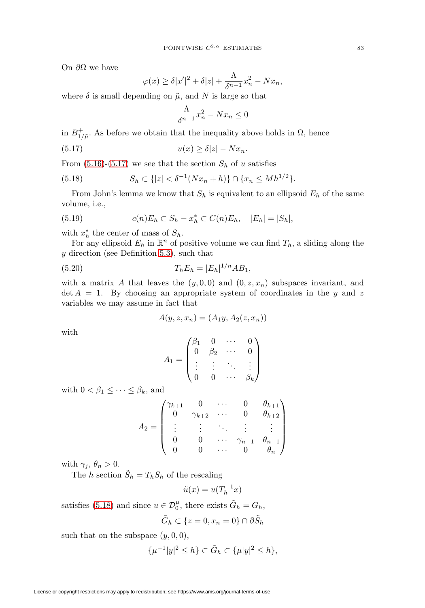On  $\partial\Omega$  we have

$$
\varphi(x) \ge \delta |x'|^2 + \delta |z| + \frac{\Lambda}{\delta^{n-1}} x_n^2 - Nx_n,
$$

where  $\delta$  is small depending on  $\tilde{\mu}$ , and N is large so that

$$
\frac{\Lambda}{\delta^{n-1}}x_n^2 - Nx_n \le 0
$$

in  $B_{1/\tilde{\mu}}^{+}$ . As before we obtain that the inequality above holds in  $\Omega$ , hence

<span id="page-20-0"></span>
$$
(5.17) \t\t u(x) \ge \delta |z| - N x_n.
$$

From  $(5.16)-(5.17)$  $(5.16)-(5.17)$  $(5.16)-(5.17)$  we see that the section  $S_h$  of u satisfies

<span id="page-20-1"></span>(5.18) 
$$
S_h \subset \{|z| < \delta^{-1}(Nx_n + h)\} \cap \{x_n \leq Mh^{1/2}\}.
$$

From John's lemma we know that  $S_h$  is equivalent to an ellipsoid  $E_h$  of the same volume, i.e.,

<span id="page-20-2"></span>(5.19) 
$$
c(n)E_h \subset S_h - x_h^* \subset C(n)E_h, \quad |E_h| = |S_h|,
$$

with  $x_h^*$  the center of mass of  $S_h$ .

For any ellipsoid  $E_h$  in  $\mathbb{R}^n$  of positive volume we can find  $T_h$ , a sliding along the  $y$  direction (see Definition [5.3\)](#page-17-2), such that

<span id="page-20-3"></span>(5.20) 
$$
T_h E_h = |E_h|^{1/n} AB_1,
$$

with a matrix A that leaves the  $(y, 0, 0)$  and  $(0, z, x_n)$  subspaces invariant, and  $\det A = 1$ . By choosing an appropriate system of coordinates in the y and z variables we may assume in fact that

$$
A(y, z, x_n) = (A_1y, A_2(z, x_n))
$$

with

$$
A_1 = \begin{pmatrix} \beta_1 & 0 & \cdots & 0 \\ 0 & \beta_2 & \cdots & 0 \\ \vdots & \vdots & \ddots & \vdots \\ 0 & 0 & \cdots & \beta_k \end{pmatrix}
$$

with  $0 < \beta_1 \leq \cdots \leq \beta_k$ , and

$$
A_2 = \begin{pmatrix} \gamma_{k+1} & 0 & \cdots & 0 & \theta_{k+1} \\ 0 & \gamma_{k+2} & \cdots & 0 & \theta_{k+2} \\ \vdots & \vdots & \ddots & \vdots & \vdots \\ 0 & 0 & \cdots & \gamma_{n-1} & \theta_{n-1} \\ 0 & 0 & \cdots & 0 & \theta_n \end{pmatrix}
$$

with  $\gamma_j, \theta_n > 0$ .

The h section  $\tilde{S}_h = T_h S_h$  of the rescaling

$$
\tilde{u}(x) = u(T_h^{-1}x)
$$

satisfies [\(5.18\)](#page-20-1) and since  $u \in \mathcal{D}_0^{\mu}$ , there exists  $\tilde{G}_h = G_h$ ,

$$
\tilde{G}_h \subset \{z = 0, x_n = 0\} \cap \partial \tilde{S}_h
$$

such that on the subspace  $(y, 0, 0)$ ,

$$
\{\mu^{-1}|y|^2 \leq h\} \subset \tilde{G}_h \subset \{\mu|y|^2 \leq h\},\
$$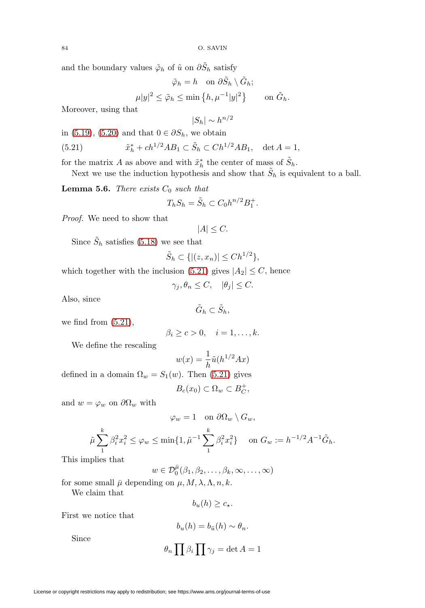License or copyright restrictions may apply to redistribution; see https://www.ams.org/journal-terms-of-use

$$
\tilde{\varphi}_h = h \quad \text{on } \partial \tilde{S}_h \setminus \tilde{G}_h;
$$
  

$$
\mu |y|^2 \le \tilde{\varphi}_h \le \min \left\{ h, \mu^{-1} |y|^2 \right\} \qquad \text{on } \tilde{G}_h.
$$

 $|S_h| \sim h^{n/2}$ 

Moreover, using that

in [\(5.19\)](#page-20-2), [\(5.20\)](#page-20-3) and that  $0 \in \partial S_h$ , we obtain

<span id="page-21-0"></span>(5.21) 
$$
\tilde{x}_h^* + ch^{1/2}AB_1 \subset \tilde{S}_h \subset Ch^{1/2}AB_1, \quad \det A = 1,
$$

for the matrix A as above and with  $\tilde{x}_h^*$  the center of mass of  $\tilde{S}_h$ .

Next we use the induction hypothesis and show that  $\tilde{S}_h$  is equivalent to a ball.

<span id="page-21-1"></span>**Lemma 5.6.** There exists  $C_0$  such that

$$
T_h S_h = \tilde{S}_h \subset C_0 h^{n/2} B_1^+.
$$

Proof. We need to show that

$$
|A| \leq C.
$$

Since  $\tilde{S}_h$  satisfies [\(5.18\)](#page-20-1) we see that

$$
\tilde{S}_h \subset \{ |(z, x_n)| \leq Ch^{1/2} \},\
$$

which together with the inclusion [\(5.21\)](#page-21-0) gives  $|A_2| \leq C$ , hence

 $\gamma_i, \theta_n \leq C, \quad |\theta_i| \leq C.$ 

Also, since

$$
\tilde{G}_h \subset \tilde{S}_h,
$$

we find from [\(5.21\)](#page-21-0),

$$
\beta_i \geq c > 0, \quad i = 1, \dots, k.
$$

We define the rescaling

$$
w(x) = \frac{1}{h}\tilde{u}(h^{1/2}Ax)
$$

defined in a domain  $\Omega_w = S_1(w)$ . Then [\(5.21\)](#page-21-0) gives

$$
B_c(x_0) \subset \Omega_w \subset B_C^+,
$$

and  $w = \varphi_w$  on  $\partial \Omega_w$  with

$$
\varphi_w = 1 \quad \text{on } \partial \Omega_w \setminus G_w,
$$
  

$$
\tilde{\mu} \sum_{i=1}^k \beta_i^2 x_i^2 \le \varphi_w \le \min\{1, \tilde{\mu}^{-1} \sum_{i=1}^k \beta_i^2 x_i^2\} \quad \text{on } G_w := h^{-1/2} A^{-1} \tilde{G}_h.
$$

This implies that

 $w \in \mathcal{D}_0^{\bar{\mu}}(\beta_1, \beta_2, \ldots, \beta_k, \infty, \ldots, \infty)$ 

for some small  $\bar{\mu}$  depending on  $\mu$ ,  $M$ ,  $\lambda$ ,  $\Lambda$ ,  $n$ ,  $k$ .

We claim that

$$
b_u(h) \geq c_\star.
$$

First we notice that

Since

$$
b_u(h) = b_{\tilde{u}}(h) \sim \theta_n.
$$

$$
\theta_n \prod \beta_i \prod \gamma_j = \det A = 1
$$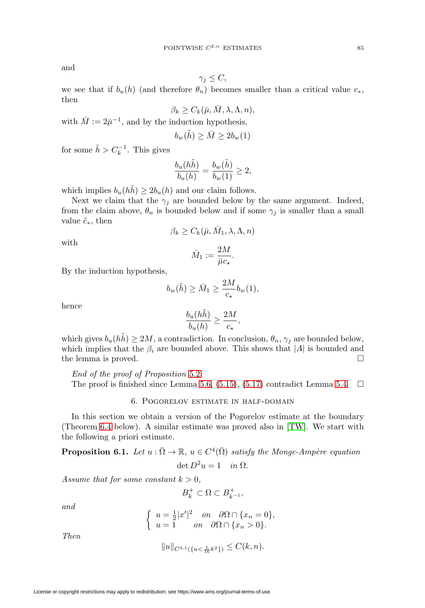and

$$
\gamma_j \leq C,
$$

we see that if  $b_u(h)$  (and therefore  $\theta_n$ ) becomes smaller than a critical value  $c_*,$ then

$$
\beta_k \ge C_k(\bar{\mu}, \bar{M}, \lambda, \Lambda, n),
$$

with  $\overline{M} := 2\overline{\mu}^{-1}$ , and by the induction hypothesis,

$$
b_w(\tilde{h}) \ge \bar{M} \ge 2b_w(1)
$$

for some  $\tilde{h} > C_k^{-1}$ . This gives

$$
\frac{b_u(h\tilde{h})}{b_u(h)} = \frac{b_w(\tilde{h})}{b_w(1)} \ge 2,
$$

which implies  $b_u(hh) \geq 2b_u(h)$  and our claim follows.

Next we claim that the  $\gamma_i$  are bounded below by the same argument. Indeed, from the claim above,  $\theta_n$  is bounded below and if some  $\gamma_j$  is smaller than a small value  $\tilde{c}_*,$  then

$$
\beta_k \geq C_k(\bar{\mu}, \bar{M}_1, \lambda, \Lambda, n)
$$

with

$$
\bar{M}_1 := \frac{2M}{\bar{\mu}c_{\star}}.
$$

By the induction hypothesis,

$$
b_w(\tilde{h}) \ge \bar{M}_1 \ge \frac{2M}{c_\star} b_w(1),
$$

hence

$$
\frac{b_u(h\tilde{h})}{b_u(h)}\geq \frac{2M}{c_\star},
$$

which gives  $b_u(h\tilde{h}) \geq 2M$ , a contradiction. In conclusion,  $\theta_n$ ,  $\gamma_j$  are bounded below, which implies that the  $\beta_i$  are bounded above. This shows that |A| is bounded and the lemma is proved.  $\Box$ 

End of the proof of Proposition [5.2](#page-16-1). The proof is finished since Lemma [5.6,](#page-21-1) [\(5.15\)](#page-19-1), [\(5.17\)](#page-20-0) contradict Lemma [5.4.](#page-17-1)  $\Box$ 

## 6. Pogorelov estimate in half-domain

In this section we obtain a version of the Pogorelov estimate at the boundary (Theorem [6.4](#page-25-0) below). A similar estimate was proved also in [\[TW\]](#page-36-0). We start with the following a priori estimate.

<span id="page-22-0"></span>**Proposition 6.1.** Let  $u : \overline{\Omega} \to \mathbb{R}$ ,  $u \in C^4(\overline{\Omega})$  satisfy the Monge-Ampère equation  $\det D^2u = 1$  in  $\Omega$ .

Assume that for some constant  $k > 0$ ,

$$
B_k^+\subset \Omega\subset B_{k^{-1}}^+,
$$

and

$$
\begin{cases}\n u = \frac{1}{2}|x'|^2 \quad on \quad \partial\Omega \cap \{x_n = 0\}, \\
u = 1 \quad on \quad \partial\Omega \cap \{x_n > 0\}.\n\end{cases}
$$

Then

$$
||u||_{C^{3,1}(\{u<\frac{1}{16}k^2\})} \leq C(k,n).
$$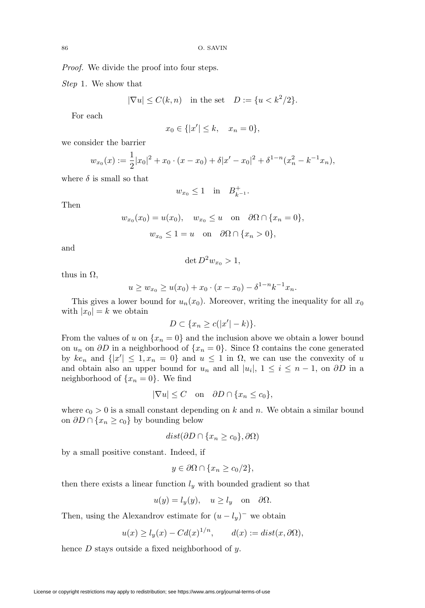Proof. We divide the proof into four steps.

Step 1. We show that

$$
|\nabla u| \le C(k, n) \quad \text{in the set} \quad D := \{u < k^2/2\}.
$$

For each

$$
x_0 \in \{ |x'| \le k, \quad x_n = 0 \},\
$$

we consider the barrier

$$
w_{x_0}(x) := \frac{1}{2}|x_0|^2 + x_0 \cdot (x - x_0) + \delta |x' - x_0|^2 + \delta^{1-n} (x_n^2 - k^{-1}x_n),
$$

where  $\delta$  is small so that

$$
w_{x_0} \le 1 \quad \text{in} \quad B_{k^{-1}}^+.
$$

Then

$$
w_{x_0}(x_0) = u(x_0), \quad w_{x_0} \le u \quad \text{on} \quad \partial\Omega \cap \{x_n = 0\},
$$
  

$$
w_{x_0} \le 1 = u \quad \text{on} \quad \partial\Omega \cap \{x_n > 0\},
$$

and

 $\det D^2 w_{x_0} > 1,$ 

thus in  $\Omega$ ,

$$
u \ge w_{x_0} \ge u(x_0) + x_0 \cdot (x - x_0) - \delta^{1-n} k^{-1} x_n.
$$

This gives a lower bound for  $u_n(x_0)$ . Moreover, writing the inequality for all  $x_0$ with  $|x_0| = k$  we obtain

$$
D \subset \{x_n \ge c(|x'| - k)\}.
$$

From the values of u on  $\{x_n = 0\}$  and the inclusion above we obtain a lower bound on  $u_n$  on  $\partial D$  in a neighborhood of  $\{x_n = 0\}$ . Since  $\Omega$  contains the cone generated by  $ke_n$  and  $\{|x'| \leq 1, x_n = 0\}$  and  $u \leq 1$  in  $\Omega$ , we can use the convexity of u and obtain also an upper bound for  $u_n$  and all  $|u_i|, 1 \le i \le n-1$ , on  $\partial D$  in a neighborhood of  $\{x_n = 0\}$ . We find

$$
|\nabla u| \le C \quad \text{on} \quad \partial D \cap \{x_n \le c_0\},
$$

where  $c_0 > 0$  is a small constant depending on k and n. We obtain a similar bound on  $\partial D \cap \{x_n \ge c_0\}$  by bounding below

$$
dist(\partial D \cap \{x_n \ge c_0\}, \partial \Omega)
$$

by a small positive constant. Indeed, if

$$
y \in \partial\Omega \cap \{x_n \ge c_0/2\},\
$$

then there exists a linear function  $l_y$  with bounded gradient so that

$$
u(y) = l_y(y), \quad u \ge l_y \quad \text{on} \quad \partial\Omega.
$$

Then, using the Alexandrov estimate for  $(u - l_y)^-$  we obtain

$$
u(x) \ge l_y(x) - C d(x)^{1/n}, \qquad d(x) := dist(x, \partial \Omega),
$$

hence  $D$  stays outside a fixed neighborhood of  $y$ .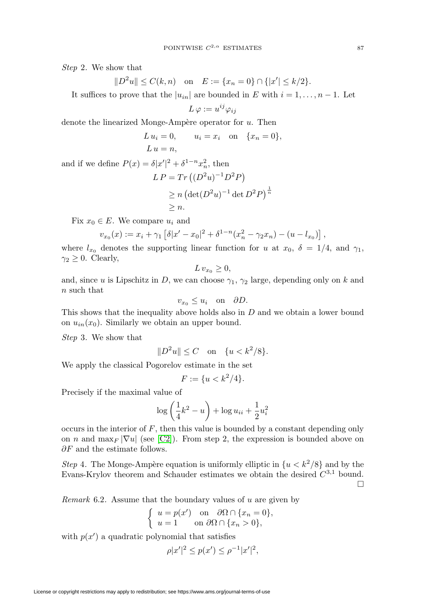Step 2. We show that

$$
||D^2u|| \le C(k,n)
$$
 on  $E := \{x_n = 0\} \cap \{|x'| \le k/2\}.$ 

It suffices to prove that the  $|u_{in}|$  are bounded in E with  $i = 1, \ldots, n - 1$ . Let

$$
L\,\varphi:=u^{ij}\varphi_{ij}
$$

denote the linearized Monge-Ampère operator for  $u$ . Then

$$
L u_i = 0, \qquad u_i = x_i \quad \text{on} \quad \{x_n = 0\},
$$
  

$$
L u = n,
$$

and if we define  $P(x) = \delta |x'|^2 + \delta^{1-n} x_n^2$ , then

$$
LP = Tr ((D2u)-1 D2 P)
$$
  
\n
$$
\geq n (\det (D2u)-1 \det D2 P)\frac{1}{n}
$$
  
\n
$$
\geq n.
$$

Fix  $x_0 \in E$ . We compare  $u_i$  and

$$
v_{x_0}(x) := x_i + \gamma_1 \left[ \delta |x' - x_0|^2 + \delta^{1-n} (x_n^2 - \gamma_2 x_n) - (u - l_{x_0}) \right],
$$

where  $l_{x_0}$  denotes the supporting linear function for u at  $x_0$ ,  $\delta = 1/4$ , and  $\gamma_1$ ,  $\gamma_2 \geq 0$ . Clearly,

$$
L v_{x_0} \geq 0,
$$

and, since u is Lipschitz in D, we can choose  $\gamma_1$ ,  $\gamma_2$  large, depending only on k and n such that

$$
v_{x_0} \le u_i \quad \text{on} \quad \partial D.
$$

This shows that the inequality above holds also in D and we obtain a lower bound on  $u_{in}(x_0)$ . Similarly we obtain an upper bound.

Step 3. We show that

$$
||D^2u|| \leq C
$$
 on  $\{u < k^2/8\}.$ 

We apply the classical Pogorelov estimate in the set

$$
F := \{ u < k^2/4 \}.
$$

Precisely if the maximal value of

$$
\log\left(\frac{1}{4}k^2 - u\right) + \log u_{ii} + \frac{1}{2}u_i^2
$$

occurs in the interior of  $F$ , then this value is bounded by a constant depending only on n and  $\max_F |\nabla u|$  (see [\[C2\]](#page-35-3)). From step 2, the expression is bounded above on  $\partial F$  and the estimate follows.

Step 4. The Monge-Ampère equation is uniformly elliptic in  $\{u < k^2/8\}$  and by the Evans-Krylov theorem and Schauder estimates we obtain the desired  $C^{3,1}$  bound.  $\Box$ 

*Remark* 6.2. Assume that the boundary values of  $u$  are given by

$$
\begin{cases}\n u = p(x') \quad \text{on} \quad \partial\Omega \cap \{x_n = 0\}, \\
u = 1 \quad \text{on} \ \partial\Omega \cap \{x_n > 0\},\n\end{cases}
$$

with  $p(x')$  a quadratic polynomial that satisfies

$$
\rho |x'|^2 \le p(x') \le \rho^{-1} |x'|^2,
$$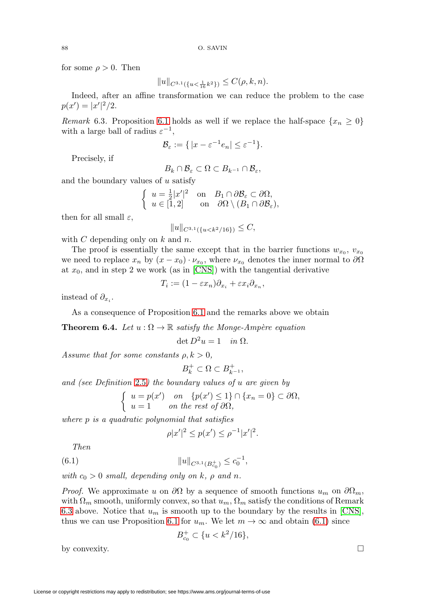for some  $\rho > 0$ . Then

$$
||u||_{C^{3,1}(\{u<\frac{1}{16}k^2\})} \leq C(\rho,k,n).
$$

Indeed, after an affine transformation we can reduce the problem to the case  $p(x') = |x'|^2/2.$ 

<span id="page-25-1"></span>Remark 6.3. Proposition [6.1](#page-22-0) holds as well if we replace the half-space  $\{x_n \geq 0\}$ with a large ball of radius  $\varepsilon^{-1}$ ,

$$
\mathcal{B}_{\varepsilon} := \{ |x - \varepsilon^{-1} e_n| \le \varepsilon^{-1} \}.
$$

Precisely, if

$$
B_k \cap \mathcal{B}_{\varepsilon} \subset \Omega \subset B_{k^{-1}} \cap \mathcal{B}_{\varepsilon},
$$

and the boundary values of  $u$  satisfy

$$
\begin{cases}\n u = \frac{1}{2}|x'|^2 & \text{on} \quad B_1 \cap \partial \mathcal{B}_\varepsilon \subset \partial \Omega, \\
u \in [1, 2] & \text{on} \quad \partial \Omega \setminus (B_1 \cap \partial \mathcal{B}_\varepsilon),\n\end{cases}
$$

then for all small  $\varepsilon$ ,

 $||u||_{C^{3,1}(\{u< k^2/16\})} \leq C,$ 

with  $C$  depending only on  $k$  and  $n$ .

The proof is essentially the same except that in the barrier functions  $w_{x_0}$ ,  $v_{x_0}$ we need to replace  $x_n$  by  $(x - x_0) \cdot \nu_{x_0}$ , where  $\nu_{x_0}$  denotes the inner normal to  $\partial\Omega$ at  $x_0$ , and in step 2 we work (as in [\[CNS\]](#page-35-2)) with the tangential derivative

$$
T_i := (1 - \varepsilon x_n) \partial_{x_i} + \varepsilon x_i \partial_{x_n},
$$

instead of  $\partial_{x_i}$ .

As a consequence of Proposition [6.1](#page-22-0) and the remarks above we obtain

<span id="page-25-0"></span>**Theorem 6.4.** Let  $u : \Omega \to \mathbb{R}$  satisfy the Monge-Ampère equation

$$
\det D^2 u = 1 \quad in \ \Omega.
$$

Assume that for some constants  $\rho, k > 0$ ,

$$
B_k^+\subset \Omega\subset B_{k^{-1}}^+,
$$

and (see Definition [2.5](#page-5-0)) the boundary values of u are given by

$$
\begin{cases}\n u = p(x') & \text{on} \quad \{p(x') \le 1\} \cap \{x_n = 0\} \subset \partial\Omega, \\
u = 1 & \text{on the rest of } \partial\Omega,\n\end{cases}
$$

where p is a quadratic polynomial that satisfies

$$
\rho |x'|^2 \le p(x') \le \rho^{-1} |x'|^2.
$$

Then

<span id="page-25-2"></span>(6.1) 
$$
||u||_{C^{3,1}(B_{c_0}^+)} \leq c_0^{-1},
$$

with  $c_0 > 0$  small, depending only on k,  $\rho$  and n.

*Proof.* We approximate u on  $\partial\Omega$  by a sequence of smooth functions  $u_m$  on  $\partial\Omega_m$ , with  $\Omega_m$  smooth, uniformly convex, so that  $u_m$ ,  $\Omega_m$  satisfy the conditions of Remark [6.3](#page-25-1) above. Notice that  $u_m$  is smooth up to the boundary by the results in [\[CNS\]](#page-35-2), thus we can use Proposition [6.1](#page-22-0) for  $u_m$ . We let  $m \to \infty$  and obtain [\(6.1\)](#page-25-2) since

$$
B_{c_0}^+ \subset \{ u < k^2/16 \},
$$

by convexity.

 $\Box$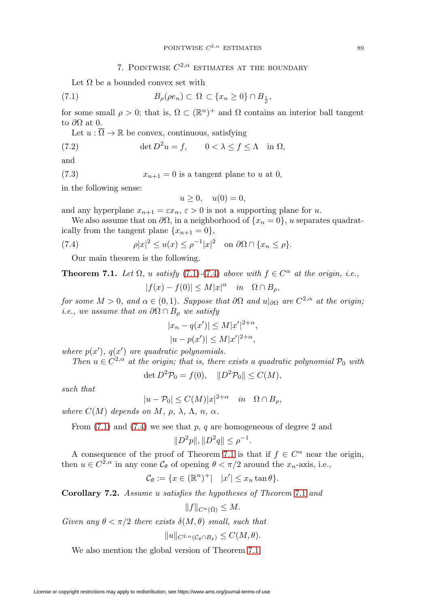# 7. POINTWISE  $C^{2,\alpha}$  ESTIMATES AT THE BOUNDARY

Let  $\Omega$  be a bounded convex set with

<span id="page-26-1"></span>
$$
(7.1) \t B\rho(\rho en) \subset \Omega \subset \{x_n \ge 0\} \cap B_{\frac{1}{\rho}},
$$

for some small  $\rho > 0$ ; that is,  $\Omega \subset (\mathbb{R}^n)^+$  and  $\Omega$  contains an interior ball tangent to  $\partial\Omega$  at 0.

Let  $u : \overline{\Omega} \to \mathbb{R}$  be convex, continuous, satisfying

(7.2) 
$$
\det D^2 u = f, \qquad 0 < \lambda \le f \le \Lambda \quad \text{in } \Omega,
$$

and

<span id="page-26-3"></span>(7.3) 
$$
x_{n+1} = 0
$$
 is a tangent plane to u at 0,

in the following sense:

$$
u \ge 0, \quad u(0) = 0,
$$

and any hyperplane  $x_{n+1} = \varepsilon x_n$ ,  $\varepsilon > 0$  is not a supporting plane for u.

We also assume that on  $\partial\Omega$ , in a neighborhood of  $\{x_n = 0\}$ , u separates quadratically from the tangent plane  $\{x_{n+1} = 0\},\$ 

<span id="page-26-2"></span>(7.4) 
$$
\rho |x|^2 \le u(x) \le \rho^{-1} |x|^2 \quad \text{on } \partial \Omega \cap \{x_n \le \rho\}.
$$

Our main theorem is the following.

<span id="page-26-0"></span>**Theorem 7.1.** Let  $\Omega$ , u satisfy [\(7.1\)](#page-26-1)-[\(7.4\)](#page-26-2) above with  $f \in C^{\alpha}$  at the origin, i.e.,

$$
|f(x) - f(0)| \le M|x|^{\alpha} \quad in \quad \Omega \cap B_{\rho},
$$

for some  $M > 0$ , and  $\alpha \in (0,1)$ . Suppose that  $\partial\Omega$  and  $u|_{\partial\Omega}$  are  $C^{2,\alpha}$  at the origin; i.e., we assume that on  $\partial\Omega \cap B_{\rho}$  we satisfy

$$
|x_n - q(x')| \le M|x'|^{2+\alpha},
$$
  
\n $|u - p(x')| \le M|x'|^{2+\alpha},$ 

where  $p(x')$ ,  $q(x')$  are quadratic polynomials.

Then  $u \in C^{2,\alpha'}$  at the origin; that is, there exists a quadratic polynomial  $\mathcal{P}_0$  with

$$
\det D^2 \mathcal{P}_0 = f(0), \quad \|D^2 \mathcal{P}_0\| \le C(M),
$$

such that

$$
|u - \mathcal{P}_0| \le C(M)|x|^{2+\alpha} \quad in \quad \Omega \cap B_\rho,
$$

where  $C(M)$  depends on M,  $\rho$ ,  $\lambda$ ,  $\Lambda$ ,  $n$ ,  $\alpha$ .

From  $(7.1)$  and  $(7.4)$  we see that p, q are homogeneous of degree 2 and

$$
||D^2p||, ||D^2q|| \le \rho^{-1}.
$$

A consequence of the proof of Theorem [7.1](#page-26-0) is that if  $f \in C^{\alpha}$  near the origin, then  $u \in C^{2,\alpha}$  in any cone  $\mathcal{C}_{\theta}$  of opening  $\theta < \pi/2$  around the  $x_n$ -axis, i.e.,

$$
\mathcal{C}_{\theta} := \{ x \in (\mathbb{R}^n)^+ \middle| \quad |x'| \le x_n \tan \theta \}.
$$

<span id="page-26-4"></span>**Corollary 7.2.** Assume u satisfies the hypotheses of Theorem [7.1](#page-26-0) and

$$
||f||_{C^{\alpha}(\bar{\Omega})} \leq M.
$$

Given any  $\theta < \pi/2$  there exists  $\delta(M, \theta)$  small, such that

$$
||u||_{C^{2,\alpha}(\mathcal{C}_{\theta}\cap B_{\delta})}\leq C(M,\theta).
$$

We also mention the global version of Theorem [7.1.](#page-26-0)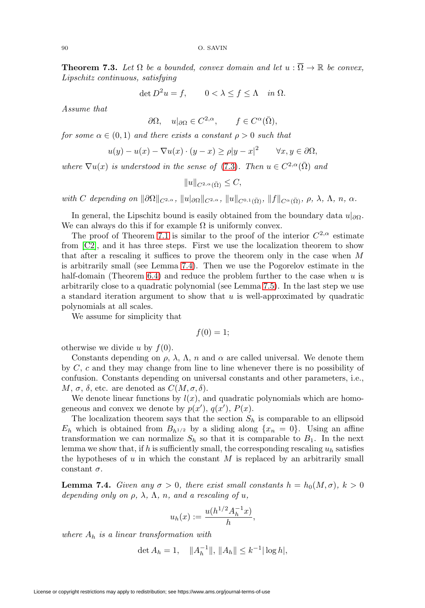<span id="page-27-1"></span>**Theorem 7.3.** Let  $\Omega$  be a bounded, convex domain and let  $u : \overline{\Omega} \to \mathbb{R}$  be convex, Lipschitz continuous, satisfying

$$
\det D^2 u = f, \qquad 0 < \lambda \le f \le \Lambda \quad \text{in } \Omega.
$$

Assume that

$$
\partial\Omega, \quad u|_{\partial\Omega} \in C^{2,\alpha}, \qquad f \in C^{\alpha}(\bar{\Omega}),
$$

for some  $\alpha \in (0,1)$  and there exists a constant  $\rho > 0$  such that

$$
u(y) - u(x) - \nabla u(x) \cdot (y - x) \ge \rho |y - x|^2 \quad \forall x, y \in \partial \Omega,
$$

where  $\nabla u(x)$  is understood in the sense of [\(7.3\)](#page-26-3). Then  $u \in C^{2,\alpha}(\overline{\Omega})$  and

 $||u||_{C^{2,\alpha}(\bar{\Omega})} \leq C,$ 

with C depending on  $\|\partial\Omega\|_{C^{2,\alpha}}$ ,  $\|u\|_{\partial\Omega}\|_{C^{2,\alpha}}$ ,  $\|u\|_{C^{0,1}(\overline{\Omega})}$ ,  $\|f\|_{C^{\alpha}(\overline{\Omega})}$ ,  $\rho$ ,  $\lambda$ ,  $\Lambda$ ,  $n$ ,  $\alpha$ .

In general, the Lipschitz bound is easily obtained from the boundary data  $u|_{\partial\Omega}$ . We can always do this if for example  $\Omega$  is uniformly convex.

The proof of Theorem [7.1](#page-26-0) is similar to the proof of the interior  $C^{2,\alpha}$  estimate from [\[C2\]](#page-35-3), and it has three steps. First we use the localization theorem to show that after a rescaling it suffices to prove the theorem only in the case when M is arbitrarily small (see Lemma [7.4\)](#page-27-0). Then we use the Pogorelov estimate in the half-domain (Theorem [6.4\)](#page-25-0) and reduce the problem further to the case when  $u$  is arbitrarily close to a quadratic polynomial (see Lemma [7.5\)](#page-29-0). In the last step we use a standard iteration argument to show that  $u$  is well-approximated by quadratic polynomials at all scales.

We assume for simplicity that

$$
f(0)=1;
$$

otherwise we divide u by  $f(0)$ .

Constants depending on  $\rho$ ,  $\lambda$ ,  $\Lambda$ ,  $n$  and  $\alpha$  are called universal. We denote them by  $C, c$  and they may change from line to line whenever there is no possibility of confusion. Constants depending on universal constants and other parameters, i.e.,  $M, \sigma, \delta$ , etc. are denoted as  $C(M, \sigma, \delta)$ .

We denote linear functions by  $l(x)$ , and quadratic polynomials which are homogeneous and convex we denote by  $p(x')$ ,  $q(x')$ ,  $P(x)$ .

The localization theorem says that the section  $S_h$  is comparable to an ellipsoid  $E_h$  which is obtained from  $B_{h^{1/2}}$  by a sliding along  $\{x_n = 0\}$ . Using an affine transformation we can normalize  $S_h$  so that it is comparable to  $B_1$ . In the next lemma we show that, if h is sufficiently small, the corresponding rescaling  $u_h$  satisfies the hypotheses of  $u$  in which the constant  $M$  is replaced by an arbitrarily small constant  $\sigma$ .

<span id="page-27-0"></span>**Lemma 7.4.** Given any  $\sigma > 0$ , there exist small constants  $h = h_0(M, \sigma)$ ,  $k > 0$ depending only on  $\rho$ ,  $\lambda$ ,  $\Lambda$ ,  $n$ , and a rescaling of u,

$$
u_h(x) := \frac{u(h^{1/2}A_h^{-1}x)}{h},
$$

where  $A_h$  is a linear transformation with

det  $A_h = 1$ ,  $||A_h^{-1}||$ ,  $||A_h|| \leq k^{-1} |\log h|$ ,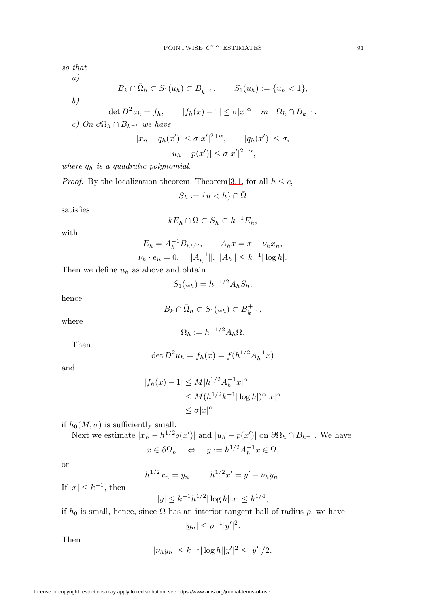so that

a)

$$
B_k \cap \overline{\Omega}_h \subset S_1(u_h) \subset B_{k-1}^+, \qquad S_1(u_h) := \{u_h < 1\},\,
$$

b)

$$
\det D^2 u_h = f_h, \qquad |f_h(x) - 1| \le \sigma |x|^\alpha \quad in \quad \Omega_h \cap B_{k-1}.
$$
  
*c)* On  $\partial \Omega_h \cap B_{k-1}$  we have

$$
|x_n - q_h(x')| \le \sigma |x'|^{2+\alpha}, \qquad |q_h(x')| \le \sigma,
$$
  

$$
|u_h - p(x')| \le \sigma |x'|^{2+\alpha},
$$

where  $q_h$  is a quadratic polynomial.

*Proof.* By the localization theorem, Theorem [3.1,](#page-7-1) for all  $h \leq c$ ,  $S_h := \{u < h\} \cap \bar{\Omega}$ 

satisfies

$$
kE_h \cap \bar{\Omega} \subset S_h \subset k^{-1}E_h,
$$

with

$$
E_h = A_h^{-1} B_{h^{1/2}}, \qquad A_h x = x - \nu_h x_n,
$$
  

$$
\nu_h \cdot e_n = 0, \quad ||A_h^{-1}||, ||A_h|| \le k^{-1} |\log h|.
$$

Then we define  $u_h$  as above and obtain

$$
S_1(u_h) = h^{-1/2} A_h S_h,
$$

hence

$$
B_k \cap \bar{\Omega}_h \subset S_1(u_h) \subset B_{k-1}^+,
$$

where

$$
\Omega_h := h^{-1/2} A_h \Omega.
$$

Then

$$
\det D^2 u_h = f_h(x) = f(h^{1/2} A_h^{-1} x)
$$

and

$$
|f_h(x) - 1| \le M |h^{1/2} A_h^{-1} x|^{\alpha}
$$
  
\n
$$
\le M (h^{1/2} k^{-1} |\log h|)^{\alpha} |x|^{\alpha}
$$
  
\n
$$
\le \sigma |x|^{\alpha}
$$

if 
$$
h_0(M, \sigma)
$$
 is sufficiently small.

Next we estimate  $|x_n - h^{1/2} q(x')|$  and  $|u_h - p(x')|$  on  $\partial \Omega_h \cap B_{k^{-1}}$ . We have

$$
x \in \partial \Omega_h \quad \Leftrightarrow \quad y := h^{1/2} A_h^{-1} x \in \Omega,
$$

or

$$
h^{1/2}x_n = y_n, \qquad h^{1/2}x' = y' - \nu_h y_n.
$$

If  $|x| \leq k^{-1}$ , then

$$
|y| \le k^{-1} h^{1/2} |\log h| |x| \le h^{1/4},
$$

if  $h_0$  is small, hence, since  $\Omega$  has an interior tangent ball of radius  $\rho$ , we have

$$
|y_n| \le \rho^{-1} |y'|^2.
$$

Then

$$
|\nu_h y_n| \le k^{-1} |\log h| |y'|^2 \le |y'|/2,
$$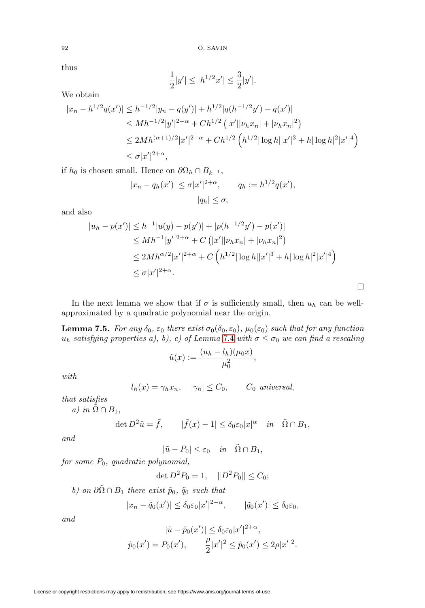92 O. SAVIN

thus

$$
\frac{1}{2}|y'| \le |h^{1/2}x'| \le \frac{3}{2}|y'|.
$$

We obtain

$$
|x_n - h^{1/2}q(x')| \le h^{-1/2}|y_n - q(y')| + h^{1/2}|q(h^{-1/2}y') - q(x')|
$$
  
\n
$$
\le Mh^{-1/2}|y'|^{2+\alpha} + Ch^{1/2} (|x'||\nu h x_n| + |\nu_h x_n|^2)
$$
  
\n
$$
\le 2Mh^{(\alpha+1)/2}|x'|^{2+\alpha} + Ch^{1/2} (h^{1/2}|\log h||x'|^3 + h|\log h|^2|x'|^4)
$$
  
\n
$$
\le \sigma |x'|^{2+\alpha},
$$

if  $h_0$  is chosen small. Hence on  $\partial\Omega_h \cap B_{k^{-1}}$ ,

$$
|x_n - q_h(x')| \le \sigma |x'|^{2+\alpha}, \qquad q_h := h^{1/2} q(x'),
$$
  

$$
|q_h| \le \sigma,
$$

and also

$$
|u_h - p(x')| \le h^{-1}|u(y) - p(y')| + |p(h^{-1/2}y') - p(x')|
$$
  
\n
$$
\le Mh^{-1}|y'|^{2+\alpha} + C(|x'||\nu_h x_n| + |\nu_h x_n|^2)
$$
  
\n
$$
\le 2Mh^{\alpha/2}|x'|^{2+\alpha} + C\left(h^{1/2}|\log h||x'|^3 + h|\log h|^2|x'|^4\right)
$$
  
\n
$$
\le \sigma |x'|^{2+\alpha}.
$$

In the next lemma we show that if  $\sigma$  is sufficiently small, then  $u_h$  can be wellapproximated by a quadratic polynomial near the origin.

<span id="page-29-0"></span>**Lemma 7.5.** For any  $\delta_0$ ,  $\varepsilon_0$  there exist  $\sigma_0(\delta_0, \varepsilon_0)$ ,  $\mu_0(\varepsilon_0)$  such that for any function  $u_h$  satisfying properties a), b), c) of Lemma [7.4](#page-27-0) with  $\sigma \leq \sigma_0$  we can find a rescaling

$$
\tilde{u}(x) := \frac{(u_h - l_h)(\mu_0 x)}{\mu_0^2},
$$

with

$$
l_h(x) = \gamma_h x_n, \quad |\gamma_h| \le C_0, \qquad C_0 \text{ universal},
$$

that satisfies

a) in  $\tilde{\Omega} \cap B_1$ ,

$$
\det D^2 \tilde{u} = \tilde{f}, \qquad |\tilde{f}(x) - 1| \le \delta_0 \varepsilon_0 |x|^\alpha \quad in \quad \tilde{\Omega} \cap B_1,
$$

and

 $|\tilde{u} - P_0| \leq \varepsilon_0$  in  $\tilde{\Omega} \cap B_1$ ,

for some  $P_0$ , quadratic polynomial,

$$
\det D^2 P_0 = 1, \quad \|D^2 P_0\| \le C_0;
$$

b) on  $\partial \tilde{\Omega} \cap B_1$  there exist  $\tilde{p}_0$ ,  $\tilde{q}_0$  such that

$$
|x_n - \tilde{q}_0(x')| \le \delta_0 \varepsilon_0 |x'|^{2+\alpha}, \qquad |\tilde{q}_0(x')| \le \delta_0 \varepsilon_0,
$$

and

$$
|\tilde{u} - \tilde{p}_0(x')| \le \delta_0 \varepsilon_0 |x'|^{2+\alpha},
$$
  

$$
\tilde{p}_0(x') = P_0(x'), \qquad \frac{\rho}{2} |x'|^2 \le \tilde{p}_0(x') \le 2\rho |x'|^2.
$$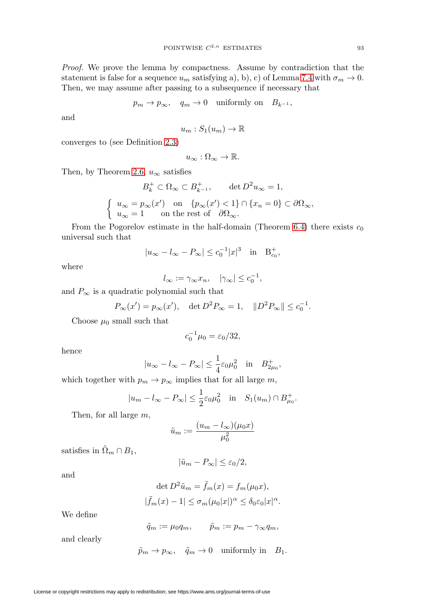Proof. We prove the lemma by compactness. Assume by contradiction that the statement is false for a sequence  $u_m$  satisfying a), b), c) of Lemma [7.4](#page-27-0) with  $\sigma_m \to 0$ . Then, we may assume after passing to a subsequence if necessary that

$$
p_m \to p_\infty
$$
,  $q_m \to 0$  uniformly on  $B_{k^{-1}}$ ,

and

$$
u_m: S_1(u_m) \to \mathbb{R}
$$

converges to (see Definition [2.3\)](#page-4-2)

$$
u_\infty:\Omega_\infty\to\mathbb{R}.
$$

Then, by Theorem [2.6,](#page-5-1)  $u_{\infty}$  satisfies

$$
B_k^+ \subset \Omega_{\infty} \subset B_{k-1}^+, \qquad \det D^2 u_{\infty} = 1,
$$
  

$$
\left\{ \begin{array}{ll} u_{\infty} = p_{\infty}(x') & \text{on} & \{p_{\infty}(x') < 1\} \cap \{x_n = 0\} \subset \partial \Omega_{\infty}, \\ u_{\infty} = 1 & \text{on the rest of} & \partial \Omega_{\infty}. \end{array} \right.
$$

From the Pogorelov estimate in the half-domain (Theorem [6.4\)](#page-25-0) there exists  $c_0$ universal such that

$$
|u_{\infty} - l_{\infty} - P_{\infty}| \leq c_0^{-1} |x|^3
$$
 in  $B_{c_0}^+$ ,

where

$$
l_{\infty} := \gamma_{\infty} x_n, \quad |\gamma_{\infty}| \leq c_0^{-1},
$$

and  $P_{\infty}$  is a quadratic polynomial such that

$$
P_{\infty}(x') = p_{\infty}(x'), \quad \det D^2 P_{\infty} = 1, \quad ||D^2 P_{\infty}|| \leq c_0^{-1}.
$$

Choose  $\mu_0$  small such that

$$
c_0^{-1}\mu_0 = \varepsilon_0/32,
$$

hence

$$
|u_{\infty} - l_{\infty} - P_{\infty}| \le \frac{1}{4} \varepsilon_0 \mu_0^2
$$
 in  $B_{2\mu_0}^+$ ,

which together with  $p_m \to p_\infty$  implies that for all large  $m$ ,

$$
|u_m - l_\infty - P_\infty| \le \frac{1}{2} \varepsilon_0 \mu_0^2
$$
 in  $S_1(u_m) \cap B_{\mu_0}^+$ .

Then, for all large m,

$$
\tilde{u}_m := \frac{(u_m - l_\infty)(\mu_0 x)}{\mu_0^2}
$$

satisfies in  $\tilde{\Omega}_m \cap B_1$ ,

$$
|\tilde{u}_m - P_{\infty}| \leq \varepsilon_0/2,
$$

$$
\det D^2 \tilde{u}_m = \tilde{f}_m(x) = f_m(\mu_0 x),
$$
  

$$
|\tilde{f}_m(x) - 1| \le \sigma_m(\mu_0 |x|)^\alpha \le \delta_0 \varepsilon_0 |x|^\alpha.
$$

We define

and

$$
\tilde{q}_m := \mu_0 q_m, \qquad \tilde{p}_m := p_m - \gamma_\infty q_m,
$$

and clearly

$$
\tilde{p}_m\rightarrow p_\infty,\quad \tilde{q}_m\rightarrow 0\quad \text{uniformly in}\quad B_1.
$$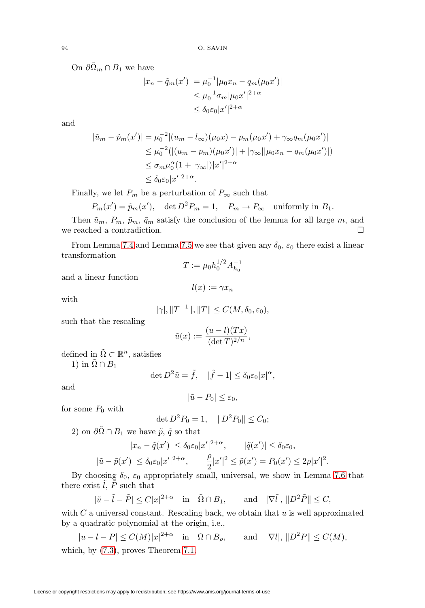On  $\partial \tilde{\Omega}_m \cap B_1$  we have

$$
|x_n - \tilde{q}_m(x')| = \mu_0^{-1} |\mu_0 x_n - q_m(\mu_0 x')|
$$
  
\n
$$
\leq \mu_0^{-1} \sigma_m |\mu_0 x'|^{2+\alpha}
$$
  
\n
$$
\leq \delta_0 \varepsilon_0 |x'|^{2+\alpha}
$$

and

$$
|\tilde{u}_m - \tilde{p}_m(x')| = \mu_0^{-2} |(u_m - l_\infty)(\mu_0 x) - p_m(\mu_0 x') + \gamma_\infty q_m(\mu_0 x')|
$$
  
\n
$$
\leq \mu_0^{-2} (|(u_m - p_m)(\mu_0 x')| + |\gamma_\infty||\mu_0 x_n - q_m(\mu_0 x')|)
$$
  
\n
$$
\leq \sigma_m \mu_0^{\alpha} (1 + |\gamma_\infty|) |x'|^{2+\alpha}
$$
  
\n
$$
\leq \delta_0 \varepsilon_0 |x'|^{2+\alpha}.
$$

Finally, we let  $P_m$  be a perturbation of  $P_{\infty}$  such that

$$
P_m(x') = \tilde{p}_m(x')
$$
, det  $D^2 P_m = 1$ ,  $P_m \to P_\infty$  uniformly in  $B_1$ .

Then  $\tilde{u}_m$ ,  $P_m$ ,  $\tilde{p}_m$ ,  $\tilde{q}_m$  satisfy the conclusion of the lemma for all large m, and we reached a contradiction.  $\Box$ 

From Lemma [7.4](#page-27-0) and Lemma [7.5](#page-29-0) we see that given any  $\delta_0$ ,  $\varepsilon_0$  there exist a linear transformation  $T := \mu_0 h_0^{1/2} A_{h_0}^{-1}$ 

and a linear function

$$
l(x) := \gamma x_n
$$

with

$$
|\gamma|, \|T^{-1}\|, \|T\| \le C(M, \delta_0, \varepsilon_0),
$$

such that the rescaling

$$
\tilde{u}(x) := \frac{(u-l)(Tx)}{(\det T)^{2/n}},
$$

defined in  $\tilde{\Omega} \subset \mathbb{R}^n$ , satisfies 1) in  $\tilde{\Omega} \cap B_1$ 

$$
\det D^2 \tilde{u} = \tilde{f}, \quad |\tilde{f} - 1| \le \delta_0 \varepsilon_0 |x|^\alpha,
$$

and

$$
|\tilde{u} - P_0| \le \varepsilon_0,
$$

for some  $P_0$  with

$$
\det D^2 P_0 = 1, \quad \|D^2 P_0\| \le C_0;
$$

2) on  $\partial\tilde{\Omega} \cap B_1$  we have  $\tilde{p}$ ,  $\tilde{q}$  so that

$$
|x_n - \tilde{q}(x')| \le \delta_0 \varepsilon_0 |x'|^{2+\alpha}, \qquad |\tilde{q}(x')| \le \delta_0 \varepsilon_0,
$$
  

$$
|\tilde{u} - \tilde{p}(x')| \le \delta_0 \varepsilon_0 |x'|^{2+\alpha}, \qquad \frac{\rho}{2} |x'|^2 \le \tilde{p}(x') = P_0(x') \le 2\rho |x'|^2.
$$

By choosing  $\delta_0$ ,  $\varepsilon_0$  appropriately small, universal, we show in Lemma [7.6](#page-32-0) that there exist  $\tilde{l}$ ,  $\tilde{P}$  such that

$$
|\tilde{u}-\tilde{l}-\tilde{P}| \le C|x|^{2+\alpha} \quad \text{in} \quad \tilde{\Omega} \cap B_1, \quad \text{and} \quad |\nabla \tilde{l}|, \|D^2 \tilde{P}\| \le C,
$$

with  $C$  a universal constant. Rescaling back, we obtain that  $u$  is well approximated by a quadratic polynomial at the origin, i.e.,

$$
|u - l - P| \le C(M)|x|^{2+\alpha} \quad \text{in} \quad \Omega \cap B_{\rho}, \qquad \text{and} \quad |\nabla l|, \|D^2 P\| \le C(M),
$$
 which, by (7.3), proves Theorem 7.1.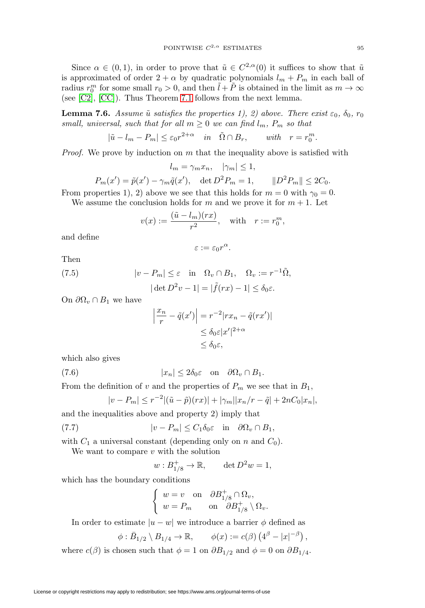Since  $\alpha \in (0,1)$ , in order to prove that  $\tilde{u} \in C^{2,\alpha}(0)$  it suffices to show that  $\tilde{u}$ is approximated of order  $2 + \alpha$  by quadratic polynomials  $l_m + P_m$  in each ball of radius  $r_0^m$  for some small  $r_0 > 0$ , and then  $\tilde{l} + \tilde{P}$  is obtained in the limit as  $m \to \infty$ (see [\[C2\]](#page-35-3), [\[CC\]](#page-35-6)). Thus Theorem [7.1](#page-26-0) follows from the next lemma.

<span id="page-32-0"></span>**Lemma 7.6.** Assume  $\tilde{u}$  satisfies the properties 1), 2) above. There exist  $\varepsilon_0$ ,  $\delta_0$ ,  $r_0$ small, universal, such that for all  $m \geq 0$  we can find  $l_m$ ,  $P_m$  so that

$$
|\tilde{u} - l_m - P_m| \le \varepsilon_0 r^{2+\alpha} \quad in \quad \tilde{\Omega} \cap B_r, \qquad with \quad r = r_0^m.
$$

*Proof.* We prove by induction on m that the inequality above is satisfied with

$$
l_m = \gamma_m x_n, \quad |\gamma_m| \le 1,
$$

$$
P_m(x') = \tilde{p}(x') - \gamma_m \tilde{q}(x'), \quad \det D^2 P_m = 1, \qquad ||D^2 P_m|| \leq 2C_0.
$$

From properties 1), 2) above we see that this holds for  $m = 0$  with  $\gamma_0 = 0$ .

We assume the conclusion holds for m and we prove it for  $m + 1$ . Let

$$
v(x) := \frac{(\tilde{u} - l_m)(rx)}{r^2}, \quad \text{with} \quad r := r_0^m,
$$

and define

$$
\varepsilon:=\varepsilon_0 r^\alpha.
$$

Then

<span id="page-32-1"></span>(7.5) 
$$
|v - P_m| \leq \varepsilon \quad \text{in} \quad \Omega_v \cap B_1, \quad \Omega_v := r^{-1} \tilde{\Omega},
$$

$$
|\det D^2 v - 1| = |\tilde{f}(rx) - 1| \leq \delta_0 \varepsilon.
$$

On  $\partial \Omega_v \cap B_1$  we have

$$
\left|\frac{x_n}{r} - \tilde{q}(x')\right| = r^{-2}|rx_n - \tilde{q}(rx')|
$$
  

$$
\leq \delta_0 \varepsilon |x'|^{2+\alpha}
$$
  

$$
\leq \delta_0 \varepsilon,
$$

which also gives

<span id="page-32-3"></span>(7.6) 
$$
|x_n| \le 2\delta_0 \varepsilon \quad \text{on} \quad \partial\Omega_v \cap B_1.
$$

From the definition of v and the properties of  $P_m$  we see that in  $B_1$ ,

$$
|v - P_m| \le r^{-2} |(\tilde{u} - \tilde{p})(rx)| + |\gamma_m||x_n/r - \tilde{q}| + 2nC_0|x_n|,
$$

and the inequalities above and property 2) imply that

<span id="page-32-2"></span>(7.7) 
$$
|v - P_m| \leq C_1 \delta_0 \varepsilon \quad \text{in} \quad \partial \Omega_v \cap B_1,
$$

with  $C_1$  a universal constant (depending only on n and  $C_0$ ).

We want to compare  $v$  with the solution

$$
w: B_{1/8}^+ \to \mathbb{R}, \qquad \det D^2 w = 1,
$$

which has the boundary conditions

$$
\begin{cases} w = v \text{ on } \partial B_{1/8}^+ \cap \Omega_v, \\ w = P_m \text{ on } \partial B_{1/8}^+ \setminus \Omega_v. \end{cases}
$$

In order to estimate  $|u - w|$  we introduce a barrier  $\phi$  defined as

$$
\phi : \overline{B}_{1/2} \setminus B_{1/4} \to \mathbb{R}, \qquad \phi(x) := c(\beta) \left( 4^{\beta} - |x|^{-\beta} \right),
$$

where  $c(\beta)$  is chosen such that  $\phi = 1$  on  $\partial B_{1/2}$  and  $\phi = 0$  on  $\partial B_{1/4}$ .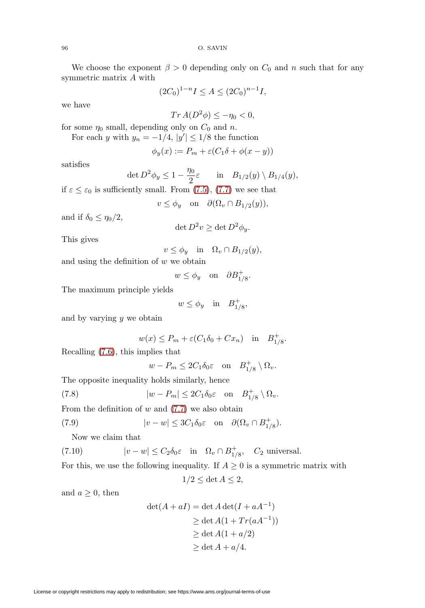96 O. SAVIN

We choose the exponent  $\beta > 0$  depending only on  $C_0$  and n such that for any symmetric matrix A with

$$
(2C_0)^{1-n}I \le A \le (2C_0)^{n-1}I,
$$

we have

$$
Tr A(D^2 \phi) \le -\eta_0 < 0,
$$

for some  $\eta_0$  small, depending only on  $C_0$  and n.

For each y with  $y_n = -1/4$ ,  $|y'| \le 1/8$  the function

$$
\phi_y(x):=P_m+\varepsilon(C_1\delta+\phi(x-y))
$$

satisfies

$$
\det D^2 \phi_y \le 1 - \frac{\eta_0}{2} \varepsilon \quad \text{in} \quad B_{1/2}(y) \setminus B_{1/4}(y),
$$

if  $\varepsilon \leq \varepsilon_0$  is sufficiently small. From [\(7.5\)](#page-32-1), [\(7.7\)](#page-32-2) we see that

$$
v \le \phi_y \quad \text{on} \quad \partial(\Omega_v \cap B_{1/2}(y)),
$$

and if  $\delta_0 \leq \eta_0/2$ ,

$$
\det D^2 v \ge \det D^2 \phi_y.
$$

This gives

$$
v \le \phi_y \quad \text{in} \quad \Omega_v \cap B_{1/2}(y),
$$

and using the definition of  $w$  we obtain

$$
w \le \phi_y
$$
 on  $\partial B_{1/8}^+$ .

The maximum principle yields

 $w \leq \phi_y$  in  $B_{1/8}^+$ ,

and by varying  $y$  we obtain

$$
w(x) \le P_m + \varepsilon (C_1 \delta_0 + C x_n) \quad \text{in} \quad B_{1/8}^+.
$$

Recalling [\(7.6\)](#page-32-3), this implies that

 $w - P_m \leq 2C_1 \delta_0 \varepsilon$  on  $B_{1/8}^+ \setminus \Omega_v$ .

The opposite inequality holds similarly, hence

<span id="page-33-2"></span>(7.8) 
$$
|w - P_m| \le 2C_1 \delta_0 \varepsilon \quad \text{on} \quad B_{1/8}^+ \setminus \Omega_v.
$$

From the definition of  $w$  and  $(7.7)$  we also obtain

<span id="page-33-0"></span>(7.9) 
$$
|v - w| \le 3C_1 \delta_0 \varepsilon \quad \text{on} \quad \partial(\Omega_v \cap B_{1/8}^+).
$$

Now we claim that

<span id="page-33-1"></span>(7.10)  $|v - w| \leq C_2 \delta_0 \varepsilon$  in  $\Omega_v \cap B_{1/8}^+$ ,  $C_2$  universal.

For this, we use the following inequality. If  $A \geq 0$  is a symmetric matrix with

$$
1/2 \le \det A \le 2,
$$

and  $a \geq 0$ , then

$$
det(A + aI) = det A det(I + aA-1)
$$
  
\n
$$
\geq det A(1 + Tr(aA-1))
$$
  
\n
$$
\geq det A(1 + a/2)
$$
  
\n
$$
\geq det A + a/4.
$$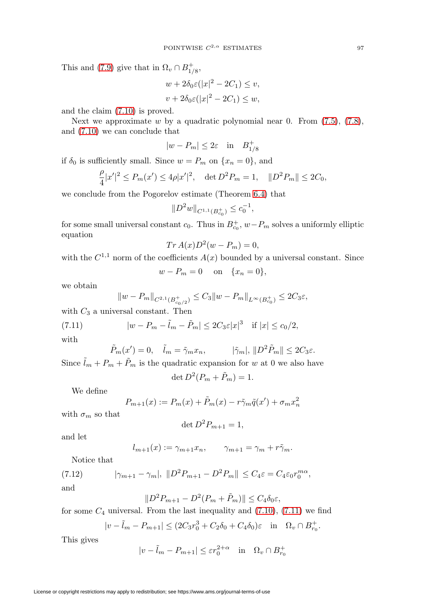This and [\(7.9\)](#page-33-0) give that in  $\Omega_v \cap B_{1/8}^+$ ,

$$
w + 2\delta_0 \varepsilon (|x|^2 - 2C_1) \le v,
$$
  

$$
v + 2\delta_0 \varepsilon (|x|^2 - 2C_1) \le w,
$$

and the claim [\(7.10\)](#page-33-1) is proved.

Next we approximate w by a quadratic polynomial near 0. From  $(7.5)$ ,  $(7.8)$ , and [\(7.10\)](#page-33-1) we can conclude that

$$
|w - P_m| \le 2\varepsilon \quad \text{in} \quad B_{1/8}^+
$$

if  $\delta_0$  is sufficiently small. Since  $w = P_m$  on  $\{x_n = 0\}$ , and

$$
\frac{\rho}{4}|x'|^2\leq P_m(x')\leq 4\rho |x'|^2,\quad \det D^2P_m=1,\quad \|D^2P_m\|\leq 2C_0,
$$

we conclude from the Pogorelov estimate (Theorem [6.4\)](#page-25-0) that

$$
||D^2w||_{C^{1,1}(B_{c_0}^+)} \leq c_0^{-1},
$$

for some small universal constant  $c_0$ . Thus in  $B_{c_0}^+$ ,  $w-P_m$  solves a uniformly elliptic equation

$$
Tr A(x)D^2(w - P_m) = 0,
$$

with the  $C^{1,1}$  norm of the coefficients  $A(x)$  bounded by a universal constant. Since

$$
w - P_m = 0 \quad \text{on} \quad \{x_n = 0\},
$$

we obtain

$$
||w - P_m||_{C^{2,1}(B_{c_0/2}^+)} \leq C_3 ||w - P_m||_{L^{\infty}(B_{c_0}^+)} \leq 2C_3 \varepsilon,
$$

with  $C_3$  a universal constant. Then

<span id="page-34-0"></span>(7.11) 
$$
|w - P_m - \tilde{l}_m - \tilde{P}_m| \le 2C_3 \varepsilon |x|^3 \quad \text{if } |x| \le c_0/2,
$$

with

$$
\tilde{P}_m(x') = 0, \quad \tilde{l}_m = \tilde{\gamma}_m x_n, \qquad |\tilde{\gamma}_m|, \|D^2 \tilde{P}_m\| \le 2C_3 \varepsilon.
$$

Since  $\tilde{l}_m + P_m + \tilde{P}_m$  is the quadratic expansion for w at 0 we also have

$$
\det D^2(P_m + \tilde{P}_m) = 1.
$$

We define

$$
P_{m+1}(x) := P_m(x) + \tilde{P}_m(x) - r\tilde{\gamma}_m\tilde{q}(x') + \sigma_m x_n^2
$$

with  $\sigma_m$  so that

$$
\det D^2 P_{m+1} = 1,
$$

and let

$$
l_{m+1}(x) := \gamma_{m+1} x_n, \qquad \gamma_{m+1} = \gamma_m + r \tilde{\gamma}_m.
$$

Notice that

<span id="page-34-1"></span>(7.12) 
$$
|\gamma_{m+1} - \gamma_m|, \|D^2 P_{m+1} - D^2 P_m\| \le C_4 \varepsilon = C_4 \varepsilon_0 r_0^{m\alpha},
$$

and

$$
||D^2P_{m+1} - D^2(P_m + \tilde{P}_m)|| \le C_4 \delta_0 \varepsilon,
$$

for some  $C_4$  universal. From the last inequality and  $(7.10)$ ,  $(7.11)$  we find

$$
|v-\tilde{l}_m-P_{m+1}|\leq (2C_3r_0^3+C_2\delta_0+C_4\delta_0)\varepsilon\quad\text{in}\quad \Omega_v\cap B_{r_0}^+.
$$

This gives

$$
|v - \tilde{l}_m - P_{m+1}| \le \varepsilon r_0^{2+\alpha} \quad \text{in} \quad \Omega_v \cap B_{r_0}^+
$$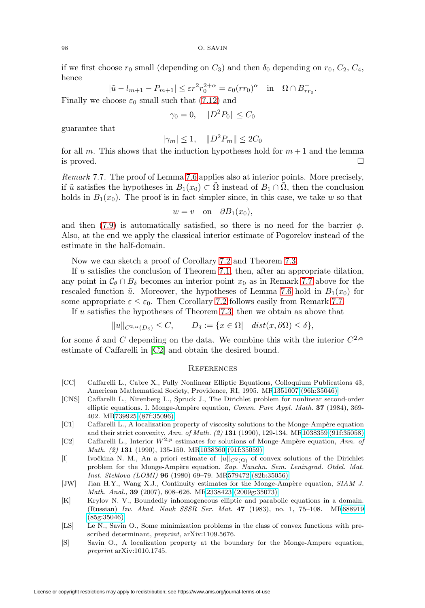98 O. SAVIN

if we first choose  $r_0$  small (depending on  $C_3$ ) and then  $\delta_0$  depending on  $r_0$ ,  $C_2$ ,  $C_4$ , hence

$$
|\tilde{u} - l_{m+1} - P_{m+1}| \le \varepsilon r^2 r_0^{2+\alpha} = \varepsilon_0 (r r_0)^{\alpha} \quad \text{in} \quad \Omega \cap B^+_{rr_0}.
$$

Finally we choose  $\varepsilon_0$  small such that [\(7.12\)](#page-34-1) and

$$
\gamma_0 = 0, \quad ||D^2 P_0|| \le C_0
$$

guarantee that

$$
|\gamma_m| \le 1, \quad ||D^2 P_m|| \le 2C_0
$$

for all m. This shows that the induction hypotheses hold for  $m+1$  and the lemma is proved.  $\Box$ 

<span id="page-35-9"></span>Remark 7.7. The proof of Lemma [7.6](#page-32-0) applies also at interior points. More precisely, if  $\tilde{u}$  satisfies the hypotheses in  $B_1(x_0) \subset \Omega$  instead of  $B_1 \cap \Omega$ , then the conclusion holds in  $B_1(x_0)$ . The proof is in fact simpler since, in this case, we take w so that

$$
w = v \quad \text{on} \quad \partial B_1(x_0),
$$

and then [\(7.9\)](#page-33-0) is automatically satisfied, so there is no need for the barrier  $\phi$ . Also, at the end we apply the classical interior estimate of Pogorelov instead of the estimate in the half-domain.

Now we can sketch a proof of Corollary [7.2](#page-26-4) and Theorem [7.3.](#page-27-1)

If  $u$  satisfies the conclusion of Theorem [7.1,](#page-26-0) then, after an appropriate dilation, any point in  $\mathcal{C}_{\theta} \cap B_{\delta}$  becomes an interior point  $x_0$  as in Remark [7.7](#page-35-9) above for the rescaled function  $\tilde{u}$ . Moreover, the hypotheses of Lemma [7.6](#page-32-0) hold in  $B_1(x_0)$  for some appropriate  $\varepsilon \leq \varepsilon_0$ . Then Corollary [7.2](#page-26-4) follows easily from Remark [7.7.](#page-35-9)

If  $u$  satisfies the hypotheses of Theorem [7.3,](#page-27-1) then we obtain as above that

$$
||u||_{C^{2,\alpha}(D_{\delta})} \leq C, \qquad D_{\delta} := \{x \in \Omega \mid dist(x, \partial \Omega) \leq \delta\},
$$

for some  $\delta$  and C depending on the data. We combine this with the interior  $C^{2,\alpha}$ estimate of Caffarelli in [\[C2\]](#page-35-3) and obtain the desired bound.

### **REFERENCES**

- <span id="page-35-6"></span>[CC] Caffarelli L., Cabre X., Fully Nonlinear Elliptic Equations, Colloquium Publications 43, American Mathematical Society, Providence, RI, 1995. M[R1351007 \(96h:35046\)](http://www.ams.org/mathscinet-getitem?mr=1351007)
- <span id="page-35-2"></span>[CNS] Caffarelli L., Nirenberg L., Spruck J., The Dirichlet problem for nonlinear second-order elliptic equations. I. Monge-Ampère equation, Comm. Pure Appl. Math. **37** (1984), 369-402. M[R739925 \(87f:35096\)](http://www.ams.org/mathscinet-getitem?mr=739925)
- <span id="page-35-8"></span>[C1] Caffarelli L., A localization property of viscosity solutions to the Monge-Ampère equation and their strict convexity, Ann. of Math. (2) **131** (1990), 129-134. M[R1038359 \(91f:35058\)](http://www.ams.org/mathscinet-getitem?mr=1038359)
- <span id="page-35-3"></span>[C2] Caffarelli L., Interior  $W^{2,p}$  estimates for solutions of Monge-Ampère equation, Ann. of Math. (2) **131** (1990), 135-150. M[R1038360 \(91f:35059\)](http://www.ams.org/mathscinet-getitem?mr=1038360)
- <span id="page-35-0"></span>[I] Ivočkina N. M., An a priori estimate of  $||u||_{C^2(\Omega)}$  of convex solutions of the Dirichlet problem for the Monge-Ampère equation. Zap. Nauchn. Sem. Leningrad. Otdel. Mat. Inst. Steklova (LOMI) **96** (1980) 69–79. M[R579472 \(82b:35056\)](http://www.ams.org/mathscinet-getitem?mr=579472)
- <span id="page-35-4"></span>[JW] Jian H.Y., Wang X.J., Continuity estimates for the Monge-Ampère equation, SIAM J. Math. Anal., **39** (2007), 608–626. M[R2338423 \(2009g:35073\)](http://www.ams.org/mathscinet-getitem?mr=2338423)
- <span id="page-35-1"></span>[K] Krylov N. V., Boundedly inhomogeneous elliptic and parabolic equations in a domain. (Russian) Izv. Akad. Nauk SSSR Ser. Mat. **47** (1983), no. 1, 75–108. M[R688919](http://www.ams.org/mathscinet-getitem?mr=688919) [\(85g:35046\)](http://www.ams.org/mathscinet-getitem?mr=688919)
- <span id="page-35-5"></span>[LS] Le N., Savin O., Some minimization problems in the class of convex functions with prescribed determinant, preprint, arXiv:1109.5676.
- <span id="page-35-7"></span>[S] Savin O., A localization property at the boundary for the Monge-Ampere equation, preprint arXiv:1010.1745.